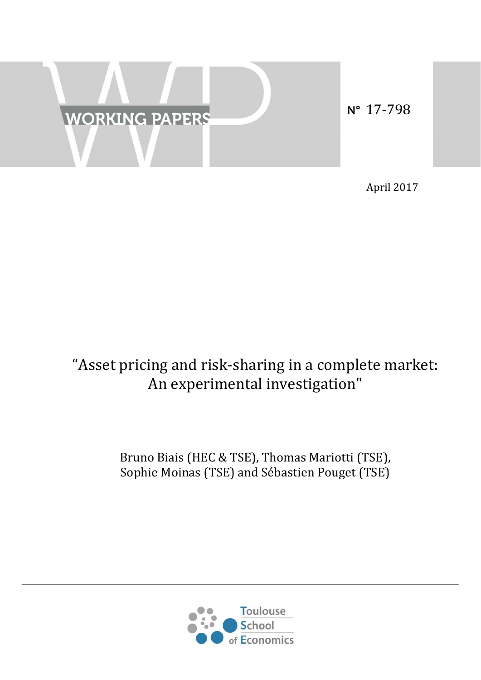

April 2017 

# "Asset pricing and risk-sharing in a complete market: An experimental investigation"

# Bruno Biais (HEC & TSE), Thomas Mariotti (TSE), Sophie Moinas (TSE) and Sébastien Pouget (TSE)

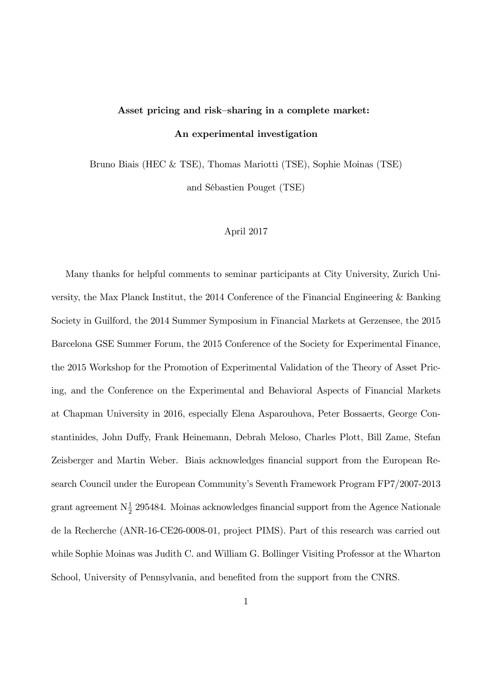# Asset pricing and risk-sharing in a complete market: An experimental investigation

Bruno Biais (HEC & TSE), Thomas Mariotti (TSE), Sophie Moinas (TSE)

and SÈbastien Pouget (TSE)

#### April 2017

Many thanks for helpful comments to seminar participants at City University, Zurich University, the Max Planck Institut, the 2014 Conference of the Financial Engineering & Banking Society in Guilford, the 2014 Summer Symposium in Financial Markets at Gerzensee, the 2015 Barcelona GSE Summer Forum, the 2015 Conference of the Society for Experimental Finance, the 2015 Workshop for the Promotion of Experimental Validation of the Theory of Asset Pricing, and the Conference on the Experimental and Behavioral Aspects of Financial Markets at Chapman University in 2016, especially Elena Asparouhova, Peter Bossaerts, George Constantinides, John Duffy, Frank Heinemann, Debrah Meloso, Charles Plott, Bill Zame, Stefan Zeisberger and Martin Weber. Biais acknowledges financial support from the European Research Council under the European Community's Seventh Framework Program FP7/2007-2013 grant agreement  $N_{\frac{1}{2}}$  295484. Moinas acknowledges financial support from the Agence Nationale de la Recherche (ANR-16-CE26-0008-01, project PIMS). Part of this research was carried out while Sophie Moinas was Judith C. and William G. Bollinger Visiting Professor at the Wharton School, University of Pennsylvania, and benefited from the support from the CNRS.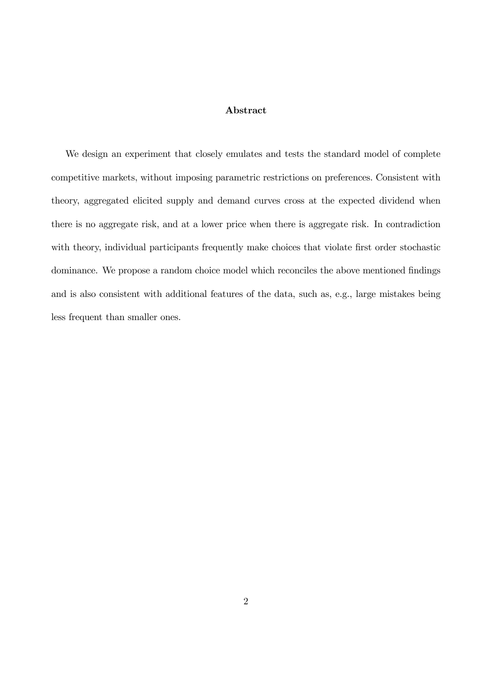#### Abstract

We design an experiment that closely emulates and tests the standard model of complete competitive markets, without imposing parametric restrictions on preferences. Consistent with theory, aggregated elicited supply and demand curves cross at the expected dividend when there is no aggregate risk, and at a lower price when there is aggregate risk. In contradiction with theory, individual participants frequently make choices that violate first order stochastic dominance. We propose a random choice model which reconciles the above mentioned findings and is also consistent with additional features of the data, such as, e.g., large mistakes being less frequent than smaller ones.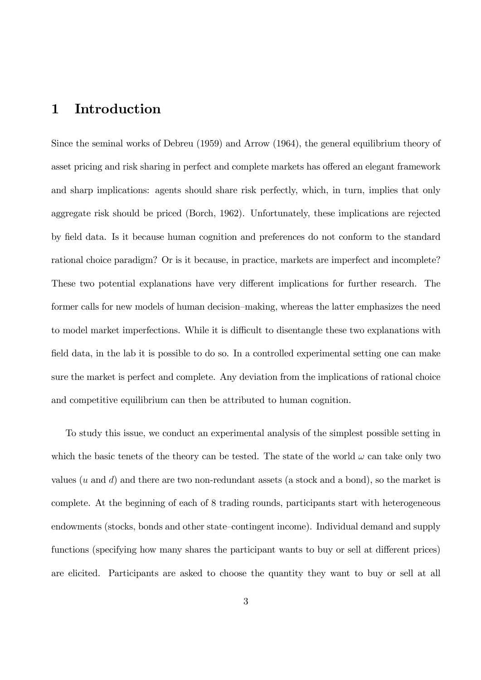# 1 Introduction

Since the seminal works of Debreu (1959) and Arrow (1964), the general equilibrium theory of asset pricing and risk sharing in perfect and complete markets has offered an elegant framework and sharp implications: agents should share risk perfectly, which, in turn, implies that only aggregate risk should be priced (Borch, 1962). Unfortunately, these implications are rejected by Öeld data. Is it because human cognition and preferences do not conform to the standard rational choice paradigm? Or is it because, in practice, markets are imperfect and incomplete? These two potential explanations have very different implications for further research. The former calls for new models of human decision–making, whereas the latter emphasizes the need to model market imperfections. While it is difficult to disentangle these two explanations with field data, in the lab it is possible to do so. In a controlled experimental setting one can make sure the market is perfect and complete. Any deviation from the implications of rational choice and competitive equilibrium can then be attributed to human cognition.

To study this issue, we conduct an experimental analysis of the simplest possible setting in which the basic tenets of the theory can be tested. The state of the world  $\omega$  can take only two values  $(u \text{ and } d)$  and there are two non-redundant assets (a stock and a bond), so the market is complete. At the beginning of each of 8 trading rounds, participants start with heterogeneous endowments (stocks, bonds and other state-contingent income). Individual demand and supply functions (specifying how many shares the participant wants to buy or sell at different prices) are elicited. Participants are asked to choose the quantity they want to buy or sell at all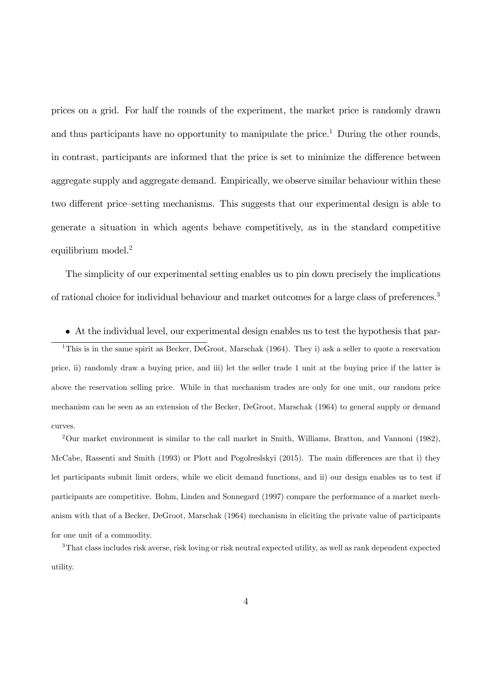prices on a grid. For half the rounds of the experiment, the market price is randomly drawn and thus participants have no opportunity to manipulate the price.<sup>1</sup> During the other rounds, in contrast, participants are informed that the price is set to minimize the difference between aggregate supply and aggregate demand. Empirically, we observe similar behaviour within these two different price—setting mechanisms. This suggests that our experimental design is able to generate a situation in which agents behave competitively, as in the standard competitive equilibrium model.<sup>2</sup>

The simplicity of our experimental setting enables us to pin down precisely the implications of rational choice for individual behaviour and market outcomes for a large class of preferences.<sup>3</sup>

 At the individual level, our experimental design enables us to test the hypothesis that par-<sup>1</sup>This is in the same spirit as Becker, DeGroot, Marschak (1964). They i) ask a seller to quote a reservation price, ii) randomly draw a buying price, and iii) let the seller trade 1 unit at the buying price if the latter is above the reservation selling price. While in that mechanism trades are only for one unit, our random price mechanism can be seen as an extension of the Becker, DeGroot, Marschak (1964) to general supply or demand curves.

<sup>2</sup>Our market environment is similar to the call market in Smith, Williams, Bratton, and Vannoni (1982), McCabe, Rassenti and Smith (1993) or Plott and Pogolreslskyi (2015). The main differences are that i) they let participants submit limit orders, while we elicit demand functions, and ii) our design enables us to test if participants are competitive. Bohm, Linden and Sonnegard (1997) compare the performance of a market mechanism with that of a Becker, DeGroot, Marschak (1964) mechanism in eliciting the private value of participants for one unit of a commodity.

<sup>3</sup>That class includes risk averse, risk loving or risk neutral expected utility, as well as rank dependent expected utility.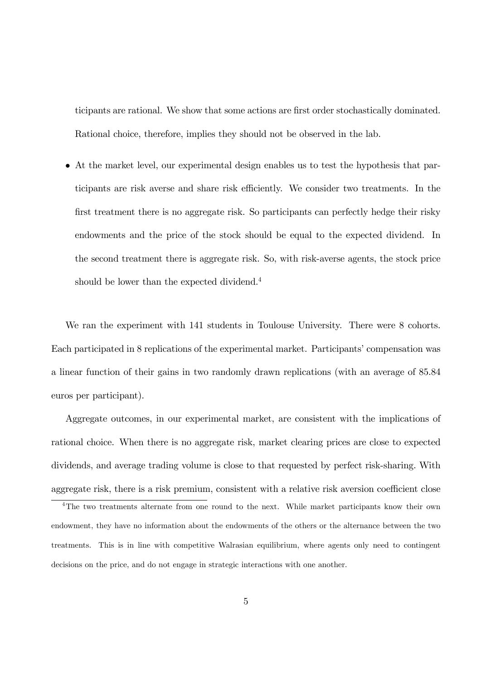ticipants are rational. We show that some actions are first order stochastically dominated. Rational choice, therefore, implies they should not be observed in the lab.

 At the market level, our experimental design enables us to test the hypothesis that participants are risk averse and share risk efficiently. We consider two treatments. In the first treatment there is no aggregate risk. So participants can perfectly hedge their risky endowments and the price of the stock should be equal to the expected dividend. In the second treatment there is aggregate risk. So, with risk-averse agents, the stock price should be lower than the expected dividend.<sup>4</sup>

We ran the experiment with 141 students in Toulouse University. There were 8 cohorts. Each participated in 8 replications of the experimental market. Participants' compensation was a linear function of their gains in two randomly drawn replications (with an average of 85.84 euros per participant).

Aggregate outcomes, in our experimental market, are consistent with the implications of rational choice. When there is no aggregate risk, market clearing prices are close to expected dividends, and average trading volume is close to that requested by perfect risk-sharing. With aggregate risk, there is a risk premium, consistent with a relative risk aversion coefficient close

<sup>&</sup>lt;sup>4</sup>The two treatments alternate from one round to the next. While market participants know their own endowment, they have no information about the endowments of the others or the alternance between the two treatments. This is in line with competitive Walrasian equilibrium, where agents only need to contingent decisions on the price, and do not engage in strategic interactions with one another.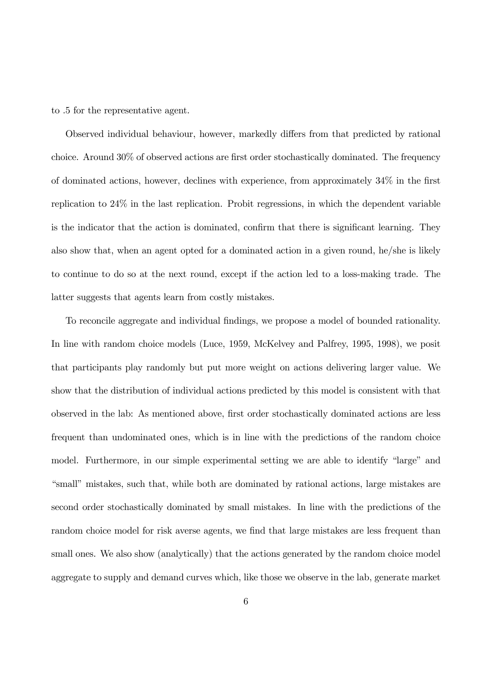to .5 for the representative agent.

Observed individual behaviour, however, markedly differs from that predicted by rational choice. Around  $30\%$  of observed actions are first order stochastically dominated. The frequency of dominated actions, however, declines with experience, from approximately  $34\%$  in the first replication to 24% in the last replication. Probit regressions, in which the dependent variable is the indicator that the action is dominated, confirm that there is significant learning. They also show that, when an agent opted for a dominated action in a given round, he/she is likely to continue to do so at the next round, except if the action led to a loss-making trade. The latter suggests that agents learn from costly mistakes.

To reconcile aggregate and individual findings, we propose a model of bounded rationality. In line with random choice models (Luce, 1959, McKelvey and Palfrey, 1995, 1998), we posit that participants play randomly but put more weight on actions delivering larger value. We show that the distribution of individual actions predicted by this model is consistent with that observed in the lab: As mentioned above, first order stochastically dominated actions are less frequent than undominated ones, which is in line with the predictions of the random choice model. Furthermore, in our simple experimental setting we are able to identify "large" and ìsmallîmistakes, such that, while both are dominated by rational actions, large mistakes are second order stochastically dominated by small mistakes. In line with the predictions of the random choice model for risk averse agents, we find that large mistakes are less frequent than small ones. We also show (analytically) that the actions generated by the random choice model aggregate to supply and demand curves which, like those we observe in the lab, generate market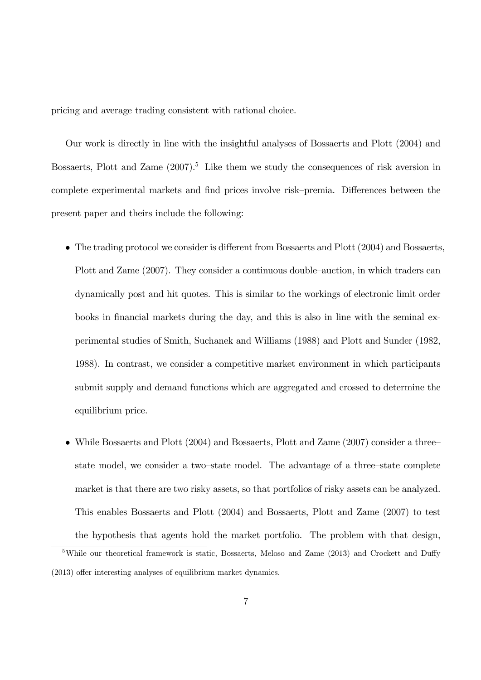pricing and average trading consistent with rational choice.

Our work is directly in line with the insightful analyses of Bossaerts and Plott (2004) and Bossaerts, Plott and Zame  $(2007)^5$  Like them we study the consequences of risk aversion in complete experimental markets and find prices involve risk–premia. Differences between the present paper and theirs include the following:

- $\bullet$  The trading protocol we consider is different from Bossaerts and Plott (2004) and Bossaerts, Plott and Zame (2007). They consider a continuous double–auction, in which traders can dynamically post and hit quotes. This is similar to the workings of electronic limit order books in financial markets during the day, and this is also in line with the seminal experimental studies of Smith, Suchanek and Williams (1988) and Plott and Sunder (1982, 1988). In contrast, we consider a competitive market environment in which participants submit supply and demand functions which are aggregated and crossed to determine the equilibrium price.
- While Bossaerts and Plott (2004) and Bossaerts, Plott and Zame (2007) consider a threestate model, we consider a two-state model. The advantage of a three-state complete market is that there are two risky assets, so that portfolios of risky assets can be analyzed. This enables Bossaerts and Plott (2004) and Bossaerts, Plott and Zame (2007) to test the hypothesis that agents hold the market portfolio. The problem with that design,

<sup>&</sup>lt;sup>5</sup>While our theoretical framework is static, Bossaerts, Meloso and Zame (2013) and Crockett and Duffy  $(2013)$  offer interesting analyses of equilibrium market dynamics.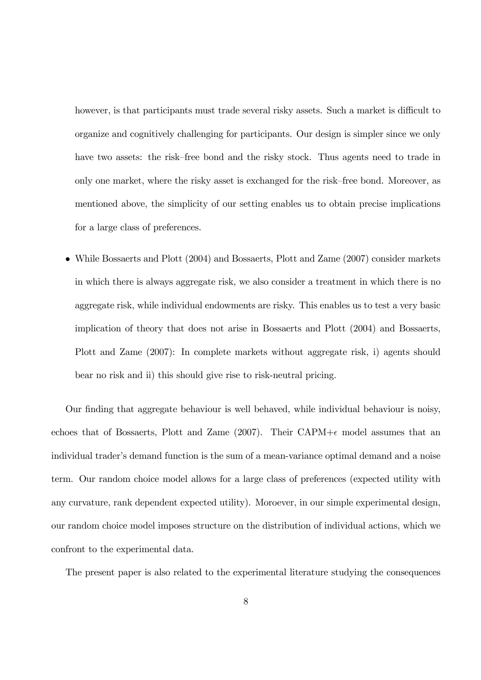however, is that participants must trade several risky assets. Such a market is difficult to organize and cognitively challenging for participants. Our design is simpler since we only have two assets: the risk–free bond and the risky stock. Thus agents need to trade in only one market, where the risky asset is exchanged for the risk–free bond. Moreover, as mentioned above, the simplicity of our setting enables us to obtain precise implications for a large class of preferences.

 While Bossaerts and Plott (2004) and Bossaerts, Plott and Zame (2007) consider markets in which there is always aggregate risk, we also consider a treatment in which there is no aggregate risk, while individual endowments are risky. This enables us to test a very basic implication of theory that does not arise in Bossaerts and Plott (2004) and Bossaerts, Plott and Zame (2007): In complete markets without aggregate risk, i) agents should bear no risk and ii) this should give rise to risk-neutral pricing.

Our finding that aggregate behaviour is well behaved, while individual behaviour is noisy, echoes that of Bossaerts, Plott and Zame (2007). Their CAPM+ $\epsilon$  model assumes that an individual trader's demand function is the sum of a mean-variance optimal demand and a noise term. Our random choice model allows for a large class of preferences (expected utility with any curvature, rank dependent expected utility). Moroever, in our simple experimental design, our random choice model imposes structure on the distribution of individual actions, which we confront to the experimental data.

The present paper is also related to the experimental literature studying the consequences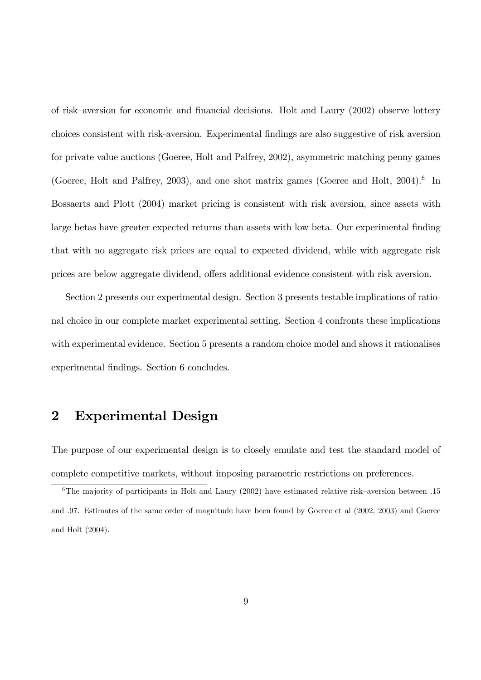of risk–aversion for economic and financial decisions. Holt and Laury (2002) observe lottery choices consistent with risk-aversion. Experimental Öndings are also suggestive of risk aversion for private value auctions (Goeree, Holt and Palfrey, 2002), asymmetric matching penny games (Goeree, Holt and Palfrey, 2003), and one-shot matrix games (Goeree and Holt, 2004).<sup>6</sup> In Bossaerts and Plott (2004) market pricing is consistent with risk aversion, since assets with large betas have greater expected returns than assets with low beta. Our experimental finding that with no aggregate risk prices are equal to expected dividend, while with aggregate risk prices are below aggregate dividend, offers additional evidence consistent with risk aversion.

Section 2 presents our experimental design. Section 3 presents testable implications of rational choice in our complete market experimental setting. Section 4 confronts these implications with experimental evidence. Section 5 presents a random choice model and shows it rationalises experimental findings. Section 6 concludes.

# 2 Experimental Design

The purpose of our experimental design is to closely emulate and test the standard model of complete competitive markets, without imposing parametric restrictions on preferences.

 $6$ The majority of participants in Holt and Laury (2002) have estimated relative risk-aversion between .15 and .97. Estimates of the same order of magnitude have been found by Goeree et al (2002, 2003) and Goeree and Holt (2004).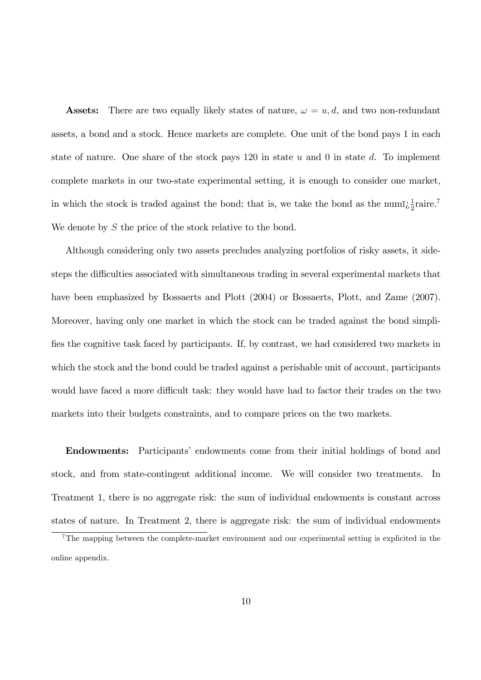**Assets:** There are two equally likely states of nature,  $\omega = u, d$ , and two non-redundant assets, a bond and a stock. Hence markets are complete. One unit of the bond pays 1 in each state of nature. One share of the stock pays 120 in state  $u$  and 0 in state  $d$ . To implement complete markets in our two-state experimental setting, it is enough to consider one market, in which the stock is traded against the bond; that is, we take the bond as the num $i_{\xi}^{1}$  aire.<sup>7</sup> We denote by S the price of the stock relative to the bond.

Although considering only two assets precludes analyzing portfolios of risky assets, it sidesteps the difficulties associated with simultaneous trading in several experimental markets that have been emphasized by Bossaerts and Plott (2004) or Bossaerts, Plott, and Zame (2007). Moreover, having only one market in which the stock can be traded against the bond simplifies the cognitive task faced by participants. If, by contrast, we had considered two markets in which the stock and the bond could be traded against a perishable unit of account, participants would have faced a more difficult task: they would have had to factor their trades on the two markets into their budgets constraints, and to compare prices on the two markets.

Endowments: Participantsí endowments come from their initial holdings of bond and stock, and from state-contingent additional income. We will consider two treatments. In Treatment 1, there is no aggregate risk: the sum of individual endowments is constant across states of nature. In Treatment 2, there is aggregate risk: the sum of individual endowments

<sup>7</sup>The mapping between the complete-market environment and our experimental setting is explicited in the online appendix.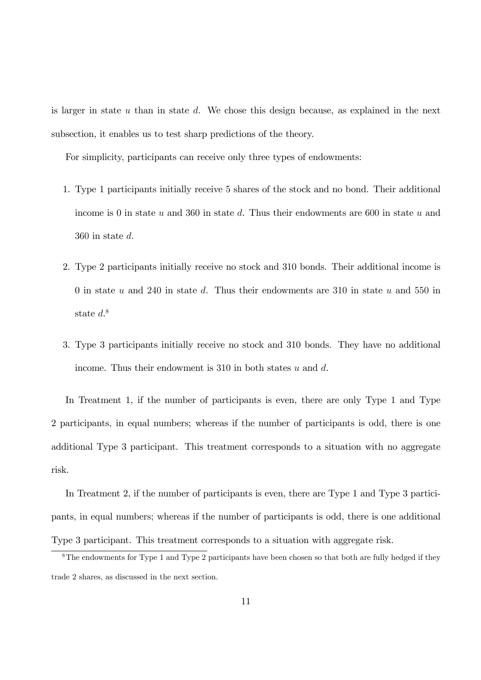is larger in state  $u$  than in state  $d$ . We chose this design because, as explained in the next subsection, it enables us to test sharp predictions of the theory.

For simplicity, participants can receive only three types of endowments:

- 1. Type 1 participants initially receive 5 shares of the stock and no bond. Their additional income is 0 in state u and 360 in state d. Thus their endowments are 600 in state u and 360 in state d.
- 2. Type 2 participants initially receive no stock and 310 bonds. Their additional income is 0 in state  $u$  and 240 in state  $d$ . Thus their endowments are 310 in state  $u$  and 550 in state  $d^8$ .
- 3. Type 3 participants initially receive no stock and 310 bonds. They have no additional income. Thus their endowment is  $310$  in both states u and d.

In Treatment 1, if the number of participants is even, there are only Type 1 and Type 2 participants, in equal numbers; whereas if the number of participants is odd, there is one additional Type 3 participant. This treatment corresponds to a situation with no aggregate risk.

In Treatment 2, if the number of participants is even, there are Type 1 and Type 3 participants, in equal numbers; whereas if the number of participants is odd, there is one additional Type 3 participant. This treatment corresponds to a situation with aggregate risk.

<sup>&</sup>lt;sup>8</sup>The endowments for Type 1 and Type 2 participants have been chosen so that both are fully hedged if they trade 2 shares, as discussed in the next section.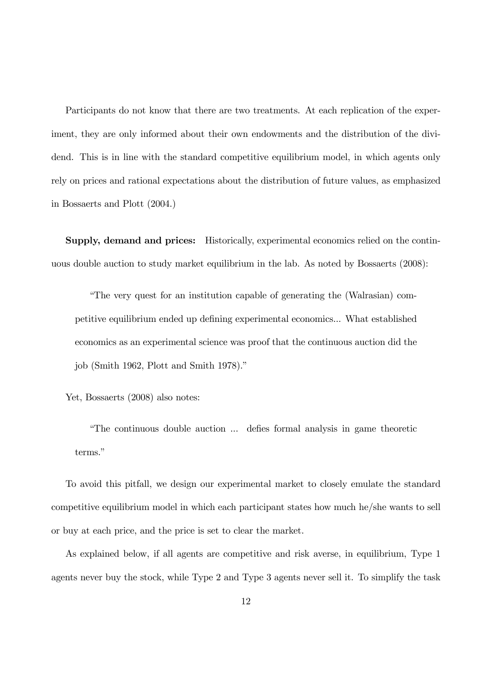Participants do not know that there are two treatments. At each replication of the experiment, they are only informed about their own endowments and the distribution of the dividend. This is in line with the standard competitive equilibrium model, in which agents only rely on prices and rational expectations about the distribution of future values, as emphasized in Bossaerts and Plott (2004.)

Supply, demand and prices: Historically, experimental economics relied on the continuous double auction to study market equilibrium in the lab. As noted by Bossaerts (2008):

ìThe very quest for an institution capable of generating the (Walrasian) competitive equilibrium ended up defining experimental economics... What established economics as an experimental science was proof that the continuous auction did the job (Smith 1962, Plott and Smith 1978).<sup>n</sup>

Yet, Bossaerts (2008) also notes:

ìThe continuous double auction ... deÖes formal analysis in game theoretic terms."

To avoid this pitfall, we design our experimental market to closely emulate the standard competitive equilibrium model in which each participant states how much he/she wants to sell or buy at each price, and the price is set to clear the market.

As explained below, if all agents are competitive and risk averse, in equilibrium, Type 1 agents never buy the stock, while Type 2 and Type 3 agents never sell it. To simplify the task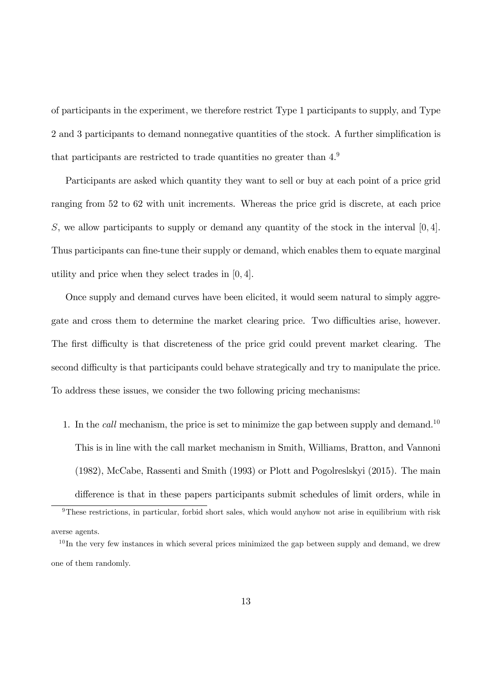of participants in the experiment, we therefore restrict Type 1 participants to supply, and Type 2 and 3 participants to demand nonnegative quantities of the stock. A further simplification is that participants are restricted to trade quantities no greater than 4.<sup>9</sup>

Participants are asked which quantity they want to sell or buy at each point of a price grid ranging from 52 to 62 with unit increments. Whereas the price grid is discrete, at each price S, we allow participants to supply or demand any quantity of the stock in the interval  $[0, 4]$ . Thus participants can fine-tune their supply or demand, which enables them to equate marginal utility and price when they select trades in [0; 4].

Once supply and demand curves have been elicited, it would seem natural to simply aggregate and cross them to determine the market clearing price. Two difficulties arise, however. The first difficulty is that discreteness of the price grid could prevent market clearing. The second difficulty is that participants could behave strategically and try to manipulate the price. To address these issues, we consider the two following pricing mechanisms:

1. In the *call* mechanism, the price is set to minimize the gap between supply and demand.<sup>10</sup> This is in line with the call market mechanism in Smith, Williams, Bratton, and Vannoni (1982), McCabe, Rassenti and Smith (1993) or Plott and Pogolreslskyi (2015). The main difference is that in these papers participants submit schedules of limit orders, while in

<sup>&</sup>lt;sup>9</sup>These restrictions, in particular, forbid short sales, which would anyhow not arise in equilibrium with risk averse agents.

 $10$  In the very few instances in which several prices minimized the gap between supply and demand, we drew one of them randomly.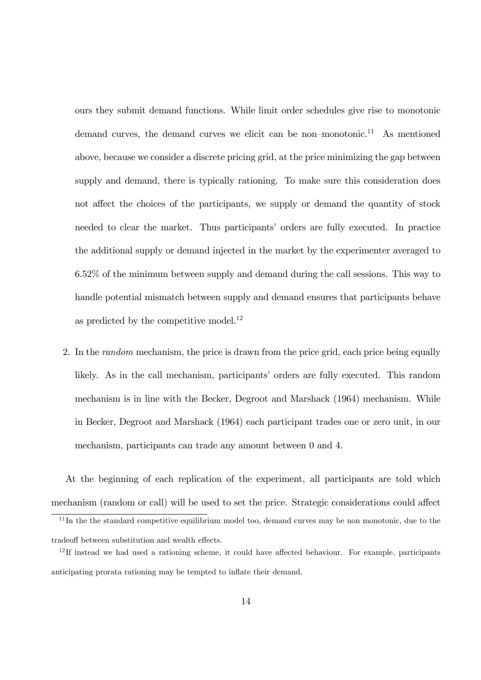ours they submit demand functions. While limit order schedules give rise to monotonic demand curves, the demand curves we elicit can be non-monotonic.<sup>11</sup> As mentioned above, because we consider a discrete pricing grid, at the price minimizing the gap between supply and demand, there is typically rationing. To make sure this consideration does not affect the choices of the participants, we supply or demand the quantity of stock needed to clear the market. Thus participants' orders are fully executed. In practice the additional supply or demand injected in the market by the experimenter averaged to 6.52% of the minimum between supply and demand during the call sessions. This way to handle potential mismatch between supply and demand ensures that participants behave as predicted by the competitive model. $^{12}$ 

2. In the random mechanism, the price is drawn from the price grid, each price being equally likely. As in the call mechanism, participants' orders are fully executed. This random mechanism is in line with the Becker, Degroot and Marshack (1964) mechanism. While in Becker, Degroot and Marshack (1964) each participant trades one or zero unit, in our mechanism, participants can trade any amount between 0 and 4.

At the beginning of each replication of the experiment, all participants are told which mechanism (random or call) will be used to set the price. Strategic considerations could affect

 $11$ In the the standard competitive equilibrium model too, demand curves may be non monotonic, due to the tradeoff between substitution and wealth effects.

 $12$ If instead we had used a rationing scheme, it could have affected behaviour. For example, participants anticipating prorata rationing may be tempted to inflate their demand.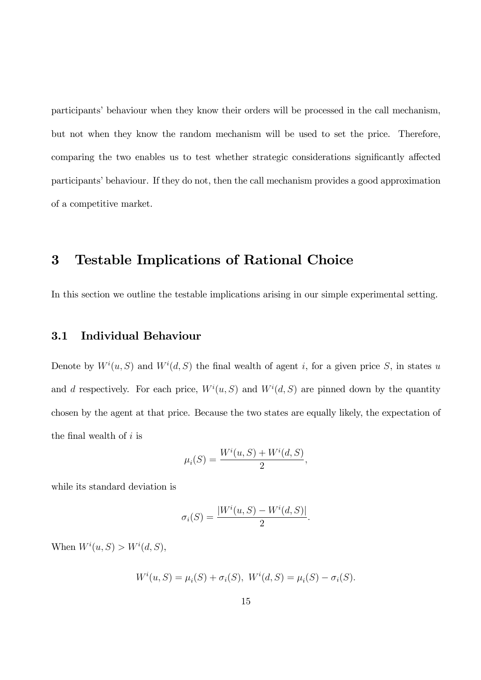participants' behaviour when they know their orders will be processed in the call mechanism, but not when they know the random mechanism will be used to set the price. Therefore, comparing the two enables us to test whether strategic considerations significantly affected participants' behaviour. If they do not, then the call mechanism provides a good approximation of a competitive market.

## 3 Testable Implications of Rational Choice

In this section we outline the testable implications arising in our simple experimental setting.

#### 3.1 Individual Behaviour

Denote by  $W^i(u, S)$  and  $W^i(d, S)$  the final wealth of agent i, for a given price S, in states u and d respectively. For each price,  $W^i(u, S)$  and  $W^i(d, S)$  are pinned down by the quantity chosen by the agent at that price. Because the two states are equally likely, the expectation of the final wealth of  $i$  is

$$
\mu_i(S) = \frac{W^i(u, S) + W^i(d, S)}{2},
$$

while its standard deviation is

$$
\sigma_i(S) = \frac{|W^i(u, S) - W^i(d, S)|}{2}.
$$

When  $W^i(u, S) > W^i(d, S)$ ,

$$
W^{i}(u, S) = \mu_{i}(S) + \sigma_{i}(S), \ W^{i}(d, S) = \mu_{i}(S) - \sigma_{i}(S).
$$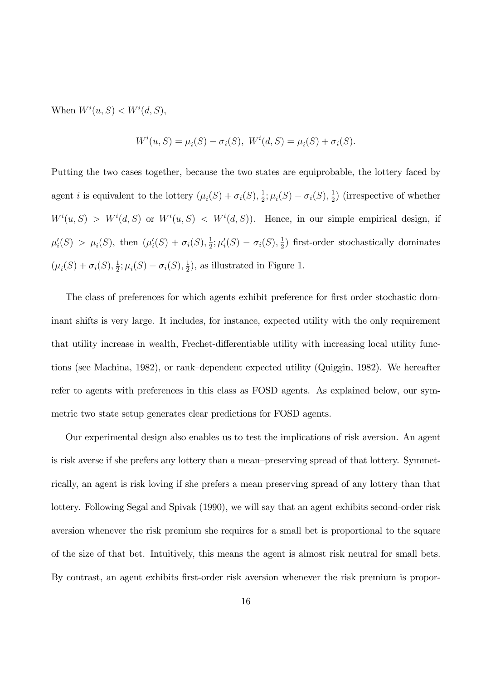When  $W^i(u, S) < W^i(d, S)$ ,

$$
W^{i}(u, S) = \mu_{i}(S) - \sigma_{i}(S), \ W^{i}(d, S) = \mu_{i}(S) + \sigma_{i}(S).
$$

Putting the two cases together, because the two states are equiprobable, the lottery faced by agent *i* is equivalent to the lottery  $(\mu_i(S) + \sigma_i(S), \frac{1}{2})$  $\frac{1}{2}$ ;  $\mu_i(S) - \sigma_i(S)$ ,  $\frac{1}{2}$  $(\frac{1}{2})$  (irrespective of whether  $W^i(u, S) > W^i(d, S)$  or  $W^i(u, S) < W^i(d, S)$ . Hence, in our simple empirical design, if  $\mu'_i(S) > \mu_i(S)$ , then  $(\mu'_i(S) + \sigma_i(S), \frac{1}{2})$  $\frac{1}{2}$ ;  $\mu'_{i}(S) - \sigma_{i}(S), \frac{1}{2}$  $\frac{1}{2}$ ) first-order stochastically dominates  $(\mu_i(S) + \sigma_i(S), \frac{1}{2})$  $\frac{1}{2}$ ;  $\mu_i(S) - \sigma_i(S)$ ,  $\frac{1}{2}$  $(\frac{1}{2})$ , as illustrated in Figure 1.

The class of preferences for which agents exhibit preference for first order stochastic dominant shifts is very large. It includes, for instance, expected utility with the only requirement that utility increase in wealth, Frechet-differentiable utility with increasing local utility functions (see Machina, 1982), or rank-dependent expected utility (Quiggin, 1982). We hereafter refer to agents with preferences in this class as FOSD agents. As explained below, our symmetric two state setup generates clear predictions for FOSD agents.

Our experimental design also enables us to test the implications of risk aversion. An agent is risk averse if she prefers any lottery than a mean–preserving spread of that lottery. Symmetrically, an agent is risk loving if she prefers a mean preserving spread of any lottery than that lottery. Following Segal and Spivak (1990), we will say that an agent exhibits second-order risk aversion whenever the risk premium she requires for a small bet is proportional to the square of the size of that bet. Intuitively, this means the agent is almost risk neutral for small bets. By contrast, an agent exhibits first-order risk aversion whenever the risk premium is propor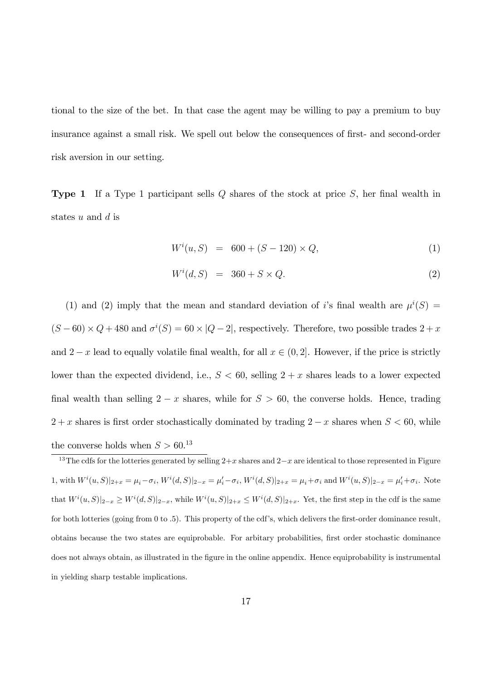tional to the size of the bet. In that case the agent may be willing to pay a premium to buy insurance against a small risk. We spell out below the consequences of first- and second-order risk aversion in our setting.

**Type 1** If a Type 1 participant sells  $Q$  shares of the stock at price  $S$ , her final wealth in states  $u$  and  $d$  is

$$
W^{i}(u, S) = 600 + (S - 120) \times Q, \tag{1}
$$

$$
W^i(d, S) = 360 + S \times Q. \tag{2}
$$

(1) and (2) imply that the mean and standard deviation of i's final wealth are  $\mu^{i}(S)$  =  $(S-60) \times Q + 480$  and  $\sigma^i(S) = 60 \times |Q-2|$ , respectively. Therefore, two possible trades  $2+x$ and  $2-x$  lead to equally volatile final wealth, for all  $x \in (0, 2]$ . However, if the price is strictly lower than the expected dividend, i.e.,  $S < 60$ , selling  $2 + x$  shares leads to a lower expected final wealth than selling  $2 - x$  shares, while for  $S > 60$ , the converse holds. Hence, trading  $2 + x$  shares is first order stochastically dominated by trading  $2 - x$  shares when  $S < 60$ , while the converse holds when  $S > 60$ <sup>13</sup>

<sup>13</sup>The cdfs for the lotteries generated by selling  $2+x$  shares and  $2-x$  are identical to those represented in Figure 1, with  $W^i(u, S)|_{2+x} = \mu_i - \sigma_i$ ,  $W^i(d, S)|_{2-x} = \mu'_i - \sigma_i$ ,  $W^i(d, S)|_{2+x} = \mu_i + \sigma_i$  and  $W^i(u, S)|_{2-x} = \mu'_i + \sigma_i$ . Note that  $W^i(u, S)|_{2-x} \geq W^i(d, S)|_{2-x}$ , while  $W^i(u, S)|_{2+x} \leq W^i(d, S)|_{2+x}$ . Yet, the first step in the cdf is the same for both lotteries (going from  $0$  to  $.5$ ). This property of the cdf's, which delivers the first-order dominance result, obtains because the two states are equiprobable. For arbitary probabilities, first order stochastic dominance does not always obtain, as illustrated in the figure in the online appendix. Hence equiprobability is instrumental in yielding sharp testable implications.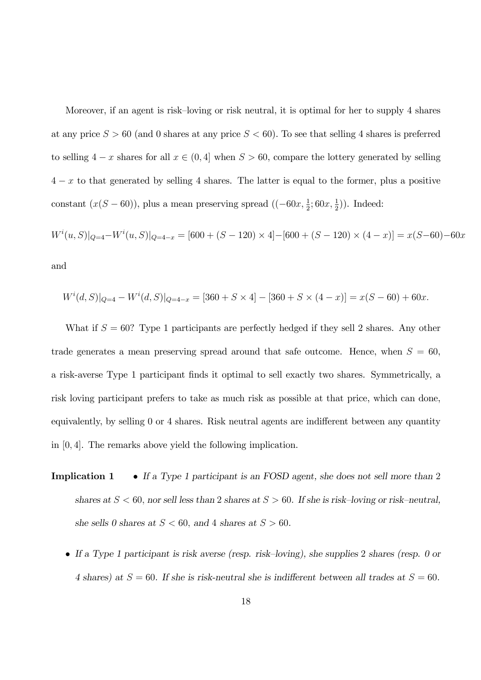Moreover, if an agent is risk-loving or risk neutral, it is optimal for her to supply 4 shares at any price  $S > 60$  (and 0 shares at any price  $S < 60$ ). To see that selling 4 shares is preferred to selling  $4 - x$  shares for all  $x \in (0, 4]$  when  $S > 60$ , compare the lottery generated by selling  $4 - x$  to that generated by selling 4 shares. The latter is equal to the former, plus a positive constant  $(x(S - 60))$ , plus a mean preserving spread  $((-60x, \frac{1}{2}; 60x, \frac{1}{2}))$ . Indeed:

$$
W^{i}(u, S)|_{Q=4} - W^{i}(u, S)|_{Q=4-x} = [600 + (S - 120) \times 4] - [600 + (S - 120) \times (4 - x)] = x(S - 60) - 60x
$$

and

$$
W^{i}(d, S)|_{Q=4} - W^{i}(d, S)|_{Q=4-x} = [360 + S \times 4] - [360 + S \times (4 - x)] = x(S - 60) + 60x.
$$

What if  $S = 60$ ? Type 1 participants are perfectly hedged if they sell 2 shares. Any other trade generates a mean preserving spread around that safe outcome. Hence, when  $S = 60$ , a risk-averse Type 1 participant finds it optimal to sell exactly two shares. Symmetrically, a risk loving participant prefers to take as much risk as possible at that price, which can done, equivalently, by selling 0 or 4 shares. Risk neutral agents are indifferent between any quantity in [0; 4]. The remarks above yield the following implication.

- **Implication 1** If a Type 1 participant is an FOSD agent, she does not sell more than 2 shares at  $S < 60$ , nor sell less than 2 shares at  $S > 60$ . If she is risk-loving or risk-neutral, she sells 0 shares at  $S < 60$ , and 4 shares at  $S > 60$ .
	- If a Type 1 participant is risk averse (resp. risk–loving), she supplies 2 shares (resp. 0 or 4 shares) at  $S = 60$ . If she is risk-neutral she is indifferent between all trades at  $S = 60$ .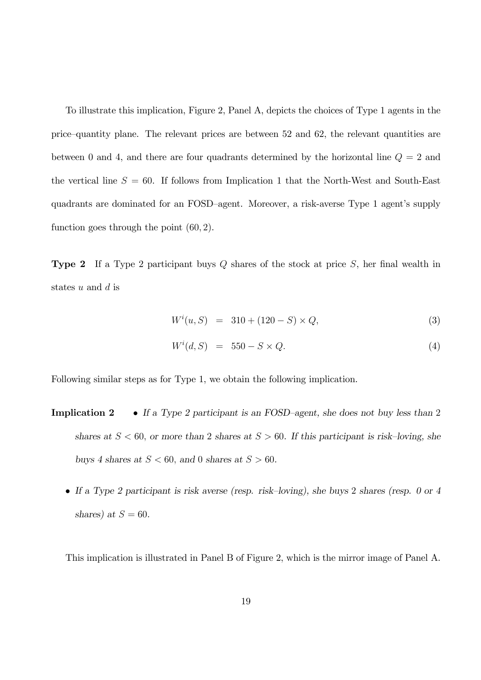To illustrate this implication, Figure 2, Panel A, depicts the choices of Type 1 agents in the price—quantity plane. The relevant prices are between 52 and 62, the relevant quantities are between 0 and 4, and there are four quadrants determined by the horizontal line  $Q = 2$  and the vertical line  $S = 60$ . If follows from Implication 1 that the North-West and South-East quadrants are dominated for an FOSD-agent. Moreover, a risk-averse Type 1 agent's supply function goes through the point  $(60, 2)$ .

**Type 2** If a Type 2 participant buys  $Q$  shares of the stock at price  $S$ , her final wealth in states  $u$  and  $d$  is

$$
W^{i}(u, S) = 310 + (120 - S) \times Q, \tag{3}
$$

$$
W^i(d, S) = 550 - S \times Q. \tag{4}
$$

Following similar steps as for Type 1, we obtain the following implication.

- **Implication 2** If a Type 2 participant is an FOSD-agent, she does not buy less than 2 shares at  $S < 60$ , or more than 2 shares at  $S > 60$ . If this participant is risk-loving, she buys 4 shares at  $S < 60$ , and 0 shares at  $S > 60$ .
	- If a Type 2 participant is risk averse (resp. risk–loving), she buys 2 shares (resp. 0 or 4 shares) at  $S = 60$ .

This implication is illustrated in Panel B of Figure 2, which is the mirror image of Panel A.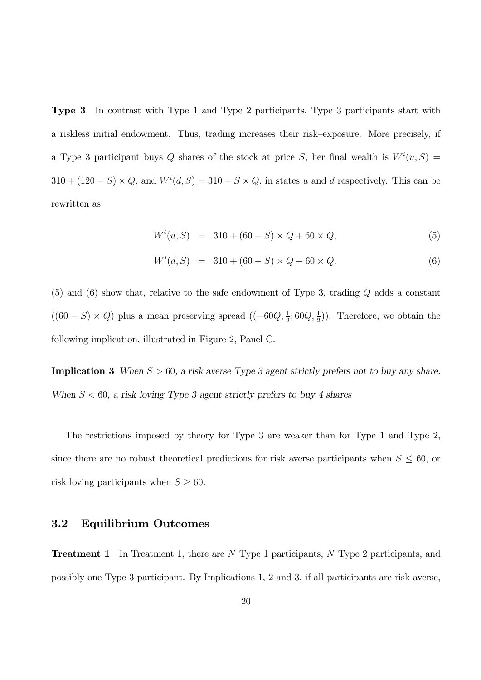Type 3 In contrast with Type 1 and Type 2 participants, Type 3 participants start with a riskless initial endowment. Thus, trading increases their risk–exposure. More precisely, if a Type 3 participant buys Q shares of the stock at price S, her final wealth is  $W^i(u, S) =$  $310 + (120 - S) \times Q$ , and  $W<sup>i</sup>(d, S) = 310 - S \times Q$ , in states u and d respectively. This can be rewritten as

$$
W^{i}(u, S) = 310 + (60 - S) \times Q + 60 \times Q, \tag{5}
$$

$$
W^{i}(d, S) = 310 + (60 - S) \times Q - 60 \times Q.
$$
 (6)

(5) and (6) show that, relative to the safe endowment of Type 3, trading Q adds a constant  $((60 - S) \times Q)$  plus a mean preserving spread  $((-60Q, \frac{1}{2}; 60Q, \frac{1}{2}))$ . Therefore, we obtain the following implication, illustrated in Figure 2, Panel C.

**Implication 3** When  $S > 60$ , a risk averse Type 3 agent strictly prefers not to buy any share. When  $S < 60$ , a risk loving Type 3 agent strictly prefers to buy 4 shares

The restrictions imposed by theory for Type 3 are weaker than for Type 1 and Type 2, since there are no robust theoretical predictions for risk averse participants when  $S \leq 60$ , or risk loving participants when  $S \geq 60$ .

#### 3.2 Equilibrium Outcomes

**Treatment 1** In Treatment 1, there are N Type 1 participants, N Type 2 participants, and possibly one Type 3 participant. By Implications 1, 2 and 3, if all participants are risk averse,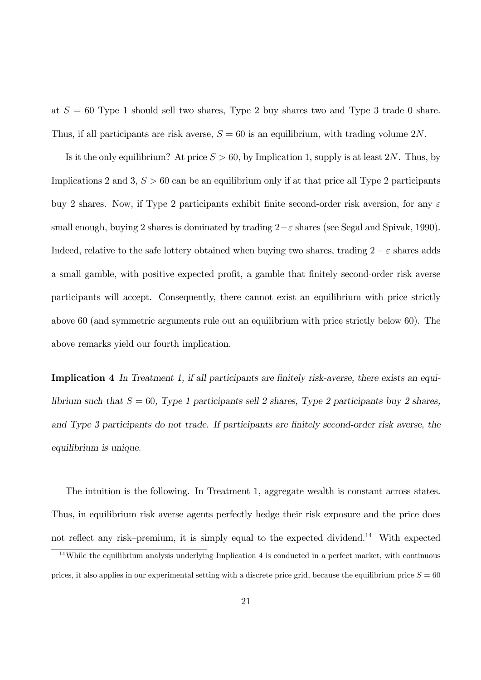at  $S = 60$  Type 1 should sell two shares, Type 2 buy shares two and Type 3 trade 0 share. Thus, if all participants are risk averse,  $S = 60$  is an equilibrium, with trading volume  $2N$ .

Is it the only equilibrium? At price  $S > 60$ , by Implication 1, supply is at least 2N. Thus, by Implications 2 and 3,  $S > 60$  can be an equilibrium only if at that price all Type 2 participants buy 2 shares. Now, if Type 2 participants exhibit finite second-order risk aversion, for any  $\varepsilon$ small enough, buying 2 shares is dominated by trading  $2-\varepsilon$  shares (see Segal and Spivak, 1990). Indeed, relative to the safe lottery obtained when buying two shares, trading  $2 - \varepsilon$  shares adds a small gamble, with positive expected profit, a gamble that finitely second-order risk averse participants will accept. Consequently, there cannot exist an equilibrium with price strictly above 60 (and symmetric arguments rule out an equilibrium with price strictly below 60). The above remarks yield our fourth implication.

Implication 4 In Treatment 1, if all participants are finitely risk-averse, there exists an equilibrium such that  $S = 60$ , Type 1 participants sell 2 shares, Type 2 participants buy 2 shares, and Type 3 participants do not trade. If participants are finitely second-order risk averse, the equilibrium is unique.

The intuition is the following. In Treatment 1, aggregate wealth is constant across states. Thus, in equilibrium risk averse agents perfectly hedge their risk exposure and the price does not reflect any risk–premium, it is simply equal to the expected dividend.<sup>14</sup> With expected

<sup>&</sup>lt;sup>14</sup>While the equilibrium analysis underlying Implication 4 is conducted in a perfect market, with continuous prices, it also applies in our experimental setting with a discrete price grid, because the equilibrium price  $S = 60$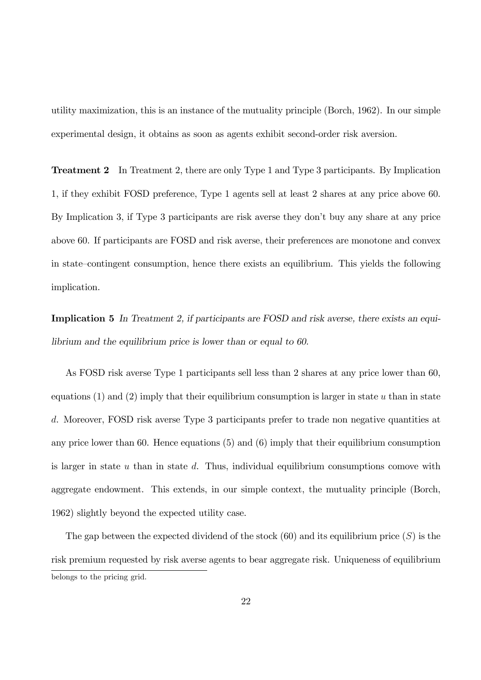utility maximization, this is an instance of the mutuality principle (Borch, 1962). In our simple experimental design, it obtains as soon as agents exhibit second-order risk aversion.

Treatment 2 In Treatment 2, there are only Type 1 and Type 3 participants. By Implication 1, if they exhibit FOSD preference, Type 1 agents sell at least 2 shares at any price above 60. By Implication 3, if Type 3 participants are risk averse they don't buy any share at any price above 60. If participants are FOSD and risk averse, their preferences are monotone and convex in state–contingent consumption, hence there exists an equilibrium. This yields the following implication.

Implication 5 In Treatment 2, if participants are FOSD and risk averse, there exists an equilibrium and the equilibrium price is lower than or equal to 60.

As FOSD risk averse Type 1 participants sell less than 2 shares at any price lower than 60, equations  $(1)$  and  $(2)$  imply that their equilibrium consumption is larger in state u than in state d. Moreover, FOSD risk averse Type 3 participants prefer to trade non negative quantities at any price lower than 60. Hence equations (5) and (6) imply that their equilibrium consumption is larger in state  $u$  than in state  $d$ . Thus, individual equilibrium consumptions comove with aggregate endowment. This extends, in our simple context, the mutuality principle (Borch, 1962) slightly beyond the expected utility case.

The gap between the expected dividend of the stock  $(60)$  and its equilibrium price  $(S)$  is the risk premium requested by risk averse agents to bear aggregate risk. Uniqueness of equilibrium belongs to the pricing grid.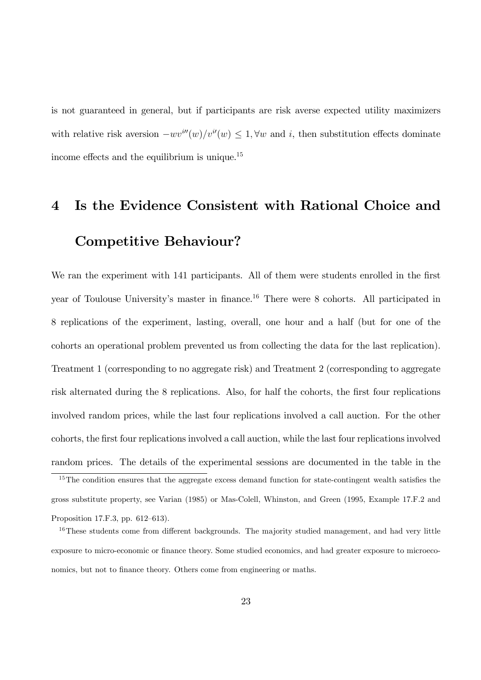is not guaranteed in general, but if participants are risk averse expected utility maximizers with relative risk aversion  $-wv^{i\prime\prime}(w)/v^{i\prime}(w) \leq 1, \forall w$  and i, then substitution effects dominate income effects and the equilibrium is unique.<sup>15</sup>

# 4 Is the Evidence Consistent with Rational Choice and Competitive Behaviour?

We ran the experiment with 141 participants. All of them were students enrolled in the first year of Toulouse University's master in finance.<sup>16</sup> There were 8 cohorts. All participated in 8 replications of the experiment, lasting, overall, one hour and a half (but for one of the cohorts an operational problem prevented us from collecting the data for the last replication). Treatment 1 (corresponding to no aggregate risk) and Treatment 2 (corresponding to aggregate risk alternated during the 8 replications. Also, for half the cohorts, the first four replications involved random prices, while the last four replications involved a call auction. For the other cohorts, the first four replications involved a call auction, while the last four replications involved random prices. The details of the experimental sessions are documented in the table in the

 $15$ The condition ensures that the aggregate excess demand function for state-contingent wealth satisfies the gross substitute property, see Varian (1985) or Mas-Colell, Whinston, and Green (1995, Example 17.F.2 and Proposition 17.F.3, pp.  $612-613$ ).

 $16$ These students come from different backgrounds. The majority studied management, and had very little exposure to micro-economic or finance theory. Some studied economics, and had greater exposure to microeconomics, but not to finance theory. Others come from engineering or maths.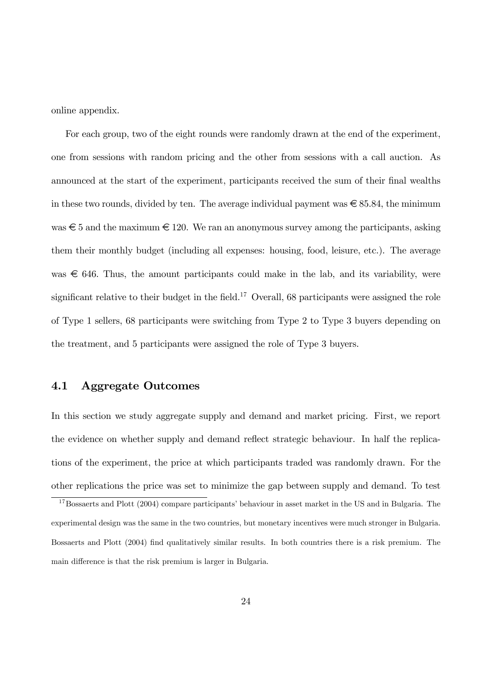online appendix.

For each group, two of the eight rounds were randomly drawn at the end of the experiment, one from sessions with random pricing and the other from sessions with a call auction. As announced at the start of the experiment, participants received the sum of their final wealths in these two rounds, divided by ten. The average individual payment was  $\epsilon \approx 85.84$ , the minimum was  $\epsilon$  5 and the maximum  $\epsilon$  120. We ran an anonymous survey among the participants, asking them their monthly budget (including all expenses: housing, food, leisure, etc.). The average was  $\epsilon$  646. Thus, the amount participants could make in the lab, and its variability, were significant relative to their budget in the field.<sup>17</sup> Overall, 68 participants were assigned the role of Type 1 sellers, 68 participants were switching from Type 2 to Type 3 buyers depending on the treatment, and 5 participants were assigned the role of Type 3 buyers.

#### 4.1 Aggregate Outcomes

In this section we study aggregate supply and demand and market pricing. First, we report the evidence on whether supply and demand reflect strategic behaviour. In half the replications of the experiment, the price at which participants traded was randomly drawn. For the other replications the price was set to minimize the gap between supply and demand. To test

 $17$ Bossaerts and Plott (2004) compare participants' behaviour in asset market in the US and in Bulgaria. The experimental design was the same in the two countries, but monetary incentives were much stronger in Bulgaria. Bossaerts and Plott (2004) find qualitatively similar results. In both countries there is a risk premium. The main difference is that the risk premium is larger in Bulgaria.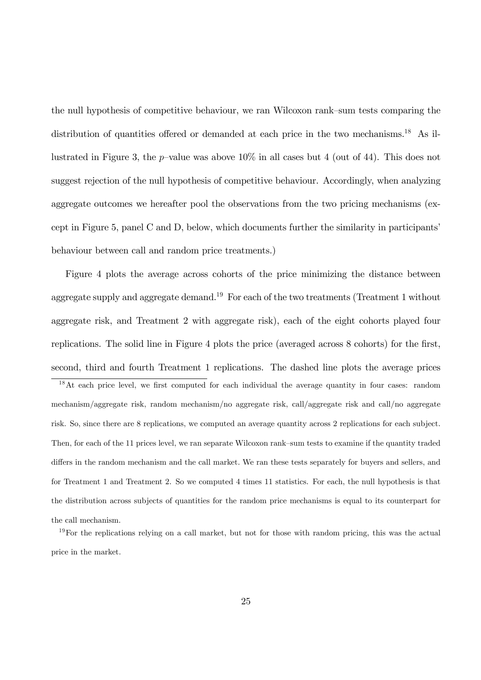the null hypothesis of competitive behaviour, we ran Wilcoxon rank-sum tests comparing the distribution of quantities offered or demanded at each price in the two mechanisms.<sup>18</sup> As illustrated in Figure 3, the p-value was above  $10\%$  in all cases but 4 (out of 44). This does not suggest rejection of the null hypothesis of competitive behaviour. Accordingly, when analyzing aggregate outcomes we hereafter pool the observations from the two pricing mechanisms (except in Figure 5, panel C and D, below, which documents further the similarity in participants' behaviour between call and random price treatments.)

Figure 4 plots the average across cohorts of the price minimizing the distance between aggregate supply and aggregate demand.<sup>19</sup> For each of the two treatments (Treatment 1 without aggregate risk, and Treatment 2 with aggregate risk), each of the eight cohorts played four replications. The solid line in Figure 4 plots the price (averaged across 8 cohorts) for the first, second, third and fourth Treatment 1 replications. The dashed line plots the average prices

 $18$ At each price level, we first computed for each individual the average quantity in four cases: random mechanism/aggregate risk, random mechanism/no aggregate risk, call/aggregate risk and call/no aggregate risk. So, since there are 8 replications, we computed an average quantity across 2 replications for each subject. Then, for each of the 11 prices level, we ran separate Wilcoxon rank-sum tests to examine if the quantity traded differs in the random mechanism and the call market. We ran these tests separately for buyers and sellers, and for Treatment 1 and Treatment 2. So we computed 4 times 11 statistics. For each, the null hypothesis is that the distribution across subjects of quantities for the random price mechanisms is equal to its counterpart for the call mechanism.

 $19$ For the replications relying on a call market, but not for those with random pricing, this was the actual price in the market.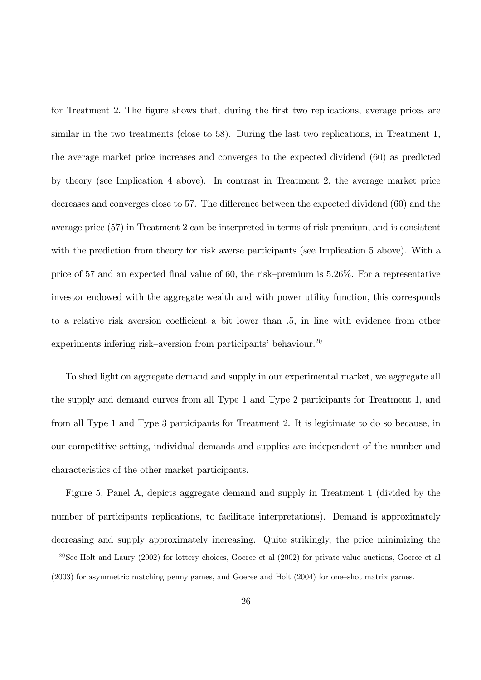for Treatment 2. The figure shows that, during the first two replications, average prices are similar in the two treatments (close to 58). During the last two replications, in Treatment 1, the average market price increases and converges to the expected dividend (60) as predicted by theory (see Implication 4 above). In contrast in Treatment 2, the average market price decreases and converges close to 57. The difference between the expected dividend (60) and the average price (57) in Treatment 2 can be interpreted in terms of risk premium, and is consistent with the prediction from theory for risk averse participants (see Implication 5 above). With a price of 57 and an expected final value of 60, the risk–premium is  $5.26\%$ . For a representative investor endowed with the aggregate wealth and with power utility function, this corresponds to a relative risk aversion coefficient a bit lower than  $.5$ , in line with evidence from other experiments infering risk–aversion from participants' behaviour.<sup>20</sup>

To shed light on aggregate demand and supply in our experimental market, we aggregate all the supply and demand curves from all Type 1 and Type 2 participants for Treatment 1, and from all Type 1 and Type 3 participants for Treatment 2. It is legitimate to do so because, in our competitive setting, individual demands and supplies are independent of the number and characteristics of the other market participants.

Figure 5, Panel A, depicts aggregate demand and supply in Treatment 1 (divided by the number of participants–replications, to facilitate interpretations). Demand is approximately decreasing and supply approximately increasing. Quite strikingly, the price minimizing the

 $20$ See Holt and Laury (2002) for lottery choices, Goeree et al (2002) for private value auctions, Goeree et al  $(2003)$  for asymmetric matching penny games, and Goeree and Holt  $(2004)$  for one-shot matrix games.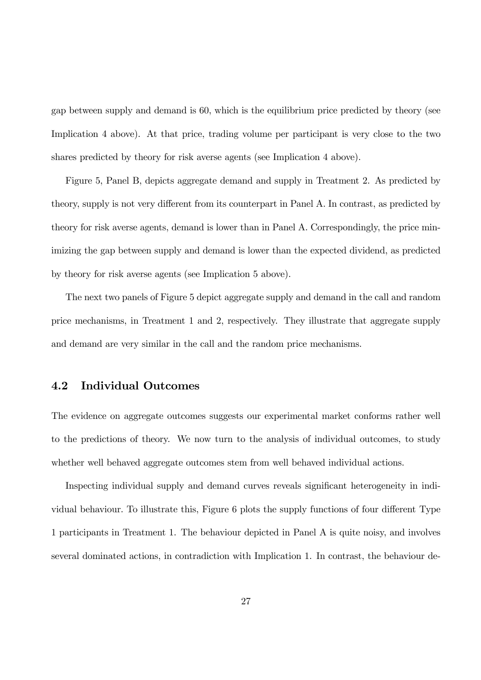gap between supply and demand is 60, which is the equilibrium price predicted by theory (see Implication 4 above). At that price, trading volume per participant is very close to the two shares predicted by theory for risk averse agents (see Implication 4 above).

Figure 5, Panel B, depicts aggregate demand and supply in Treatment 2. As predicted by theory, supply is not very different from its counterpart in Panel A. In contrast, as predicted by theory for risk averse agents, demand is lower than in Panel A. Correspondingly, the price minimizing the gap between supply and demand is lower than the expected dividend, as predicted by theory for risk averse agents (see Implication 5 above).

The next two panels of Figure 5 depict aggregate supply and demand in the call and random price mechanisms, in Treatment 1 and 2, respectively. They illustrate that aggregate supply and demand are very similar in the call and the random price mechanisms.

#### 4.2 Individual Outcomes

The evidence on aggregate outcomes suggests our experimental market conforms rather well to the predictions of theory. We now turn to the analysis of individual outcomes, to study whether well behaved aggregate outcomes stem from well behaved individual actions.

Inspecting individual supply and demand curves reveals significant heterogeneity in individual behaviour. To illustrate this, Figure 6 plots the supply functions of four different Type 1 participants in Treatment 1. The behaviour depicted in Panel A is quite noisy, and involves several dominated actions, in contradiction with Implication 1. In contrast, the behaviour de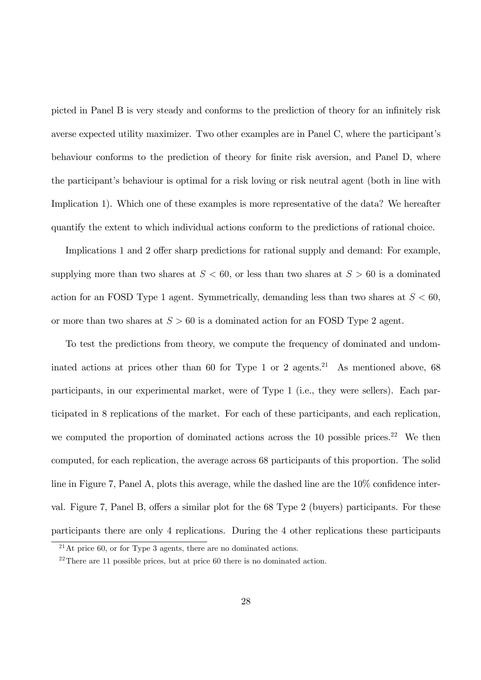picted in Panel B is very steady and conforms to the prediction of theory for an infinitely risk averse expected utility maximizer. Two other examples are in Panel C, where the participant's behaviour conforms to the prediction of theory for finite risk aversion, and Panel D, where the participant's behaviour is optimal for a risk loving or risk neutral agent (both in line with Implication 1). Which one of these examples is more representative of the data? We hereafter quantify the extent to which individual actions conform to the predictions of rational choice.

Implications 1 and 2 offer sharp predictions for rational supply and demand: For example, supplying more than two shares at  $S < 60$ , or less than two shares at  $S > 60$  is a dominated action for an FOSD Type 1 agent. Symmetrically, demanding less than two shares at  $S < 60$ , or more than two shares at  $S > 60$  is a dominated action for an FOSD Type 2 agent.

To test the predictions from theory, we compute the frequency of dominated and undominated actions at prices other than 60 for Type 1 or 2 agents.<sup>21</sup> As mentioned above, 68 participants, in our experimental market, were of Type 1 (i.e., they were sellers). Each participated in 8 replications of the market. For each of these participants, and each replication, we computed the proportion of dominated actions across the  $10$  possible prices.<sup>22</sup> We then computed, for each replication, the average across 68 participants of this proportion. The solid line in Figure 7, Panel A, plots this average, while the dashed line are the  $10\%$  confidence interval. Figure 7, Panel B, offers a similar plot for the  $68$  Type 2 (buyers) participants. For these participants there are only 4 replications. During the 4 other replications these participants

 $^{21}$ At price 60, or for Type 3 agents, there are no dominated actions.

 $22$ There are 11 possible prices, but at price 60 there is no dominated action.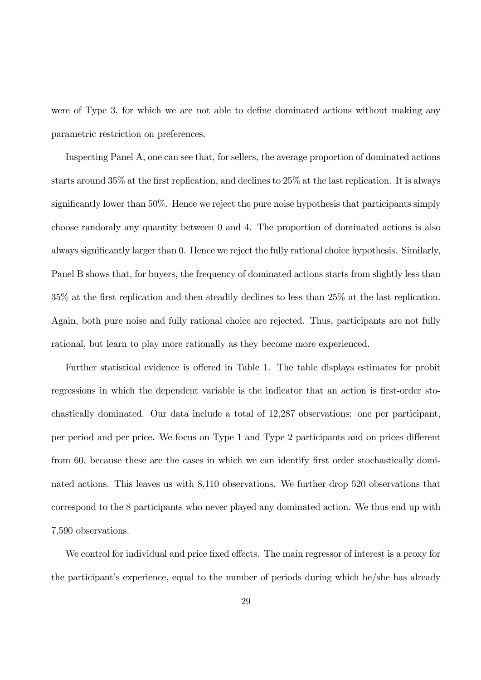were of Type 3, for which we are not able to define dominated actions without making any parametric restriction on preferences.

Inspecting Panel A, one can see that, for sellers, the average proportion of dominated actions starts around  $35\%$  at the first replication, and declines to  $25\%$  at the last replication. It is always significantly lower than  $50\%$ . Hence we reject the pure noise hypothesis that participants simply choose randomly any quantity between 0 and 4. The proportion of dominated actions is also always significantly larger than 0. Hence we reject the fully rational choice hypothesis. Similarly, Panel B shows that, for buyers, the frequency of dominated actions starts from slightly less than  $35\%$  at the first replication and then steadily declines to less than  $25\%$  at the last replication. Again, both pure noise and fully rational choice are rejected. Thus, participants are not fully rational, but learn to play more rationally as they become more experienced.

Further statistical evidence is offered in Table 1. The table displays estimates for probit regressions in which the dependent variable is the indicator that an action is first-order stochastically dominated. Our data include a total of 12,287 observations: one per participant, per period and per price. We focus on Type 1 and Type 2 participants and on prices different from 60, because these are the cases in which we can identify first order stochastically dominated actions. This leaves us with 8,110 observations. We further drop 520 observations that correspond to the 8 participants who never played any dominated action. We thus end up with 7,590 observations.

We control for individual and price fixed effects. The main regressor of interest is a proxy for the participant's experience, equal to the number of periods during which he/she has already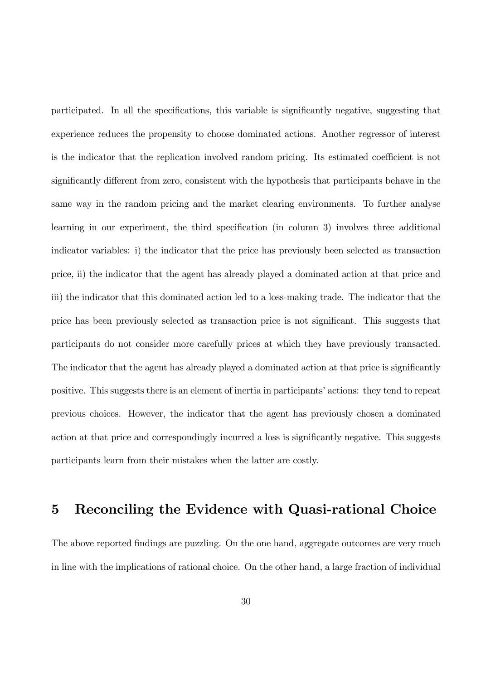participated. In all the specifications, this variable is significantly negative, suggesting that experience reduces the propensity to choose dominated actions. Another regressor of interest is the indicator that the replication involved random pricing. Its estimated coefficient is not significantly different from zero, consistent with the hypothesis that participants behave in the same way in the random pricing and the market clearing environments. To further analyse learning in our experiment, the third specification (in column 3) involves three additional indicator variables: i) the indicator that the price has previously been selected as transaction price, ii) the indicator that the agent has already played a dominated action at that price and iii) the indicator that this dominated action led to a loss-making trade. The indicator that the price has been previously selected as transaction price is not significant. This suggests that participants do not consider more carefully prices at which they have previously transacted. The indicator that the agent has already played a dominated action at that price is significantly positive. This suggests there is an element of inertia in participants' actions: they tend to repeat previous choices. However, the indicator that the agent has previously chosen a dominated action at that price and correspondingly incurred a loss is significantly negative. This suggests participants learn from their mistakes when the latter are costly.

### 5 Reconciling the Evidence with Quasi-rational Choice

The above reported findings are puzzling. On the one hand, aggregate outcomes are very much in line with the implications of rational choice. On the other hand, a large fraction of individual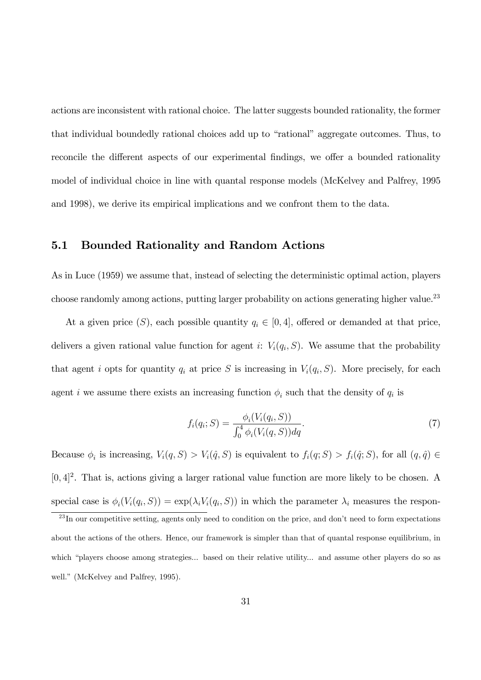actions are inconsistent with rational choice. The latter suggests bounded rationality, the former that individual boundedly rational choices add up to "rational" aggregate outcomes. Thus, to reconcile the different aspects of our experimental findings, we offer a bounded rationality model of individual choice in line with quantal response models (McKelvey and Palfrey, 1995 and 1998), we derive its empirical implications and we confront them to the data.

#### 5.1 Bounded Rationality and Random Actions

As in Luce (1959) we assume that, instead of selecting the deterministic optimal action, players choose randomly among actions, putting larger probability on actions generating higher value.<sup>23</sup>

At a given price  $(S)$ , each possible quantity  $q_i \in [0, 4]$ , offered or demanded at that price, delivers a given rational value function for agent i:  $V_i(q_i, S)$ . We assume that the probability that agent i opts for quantity  $q_i$  at price S is increasing in  $V_i(q_i, S)$ . More precisely, for each agent *i* we assume there exists an increasing function  $\phi_i$  such that the density of  $q_i$  is

$$
f_i(q_i;S) = \frac{\phi_i(V_i(q_i,S))}{\int_0^4 \phi_i(V_i(q,S))dq}.
$$
\n(7)

Because  $\phi_i$  is increasing,  $V_i(q, S) > V_i(\hat{q}, S)$  is equivalent to  $f_i(q; S) > f_i(\hat{q}; S)$ , for all  $(q, \hat{q}) \in$  $[0,4]^2$ . That is, actions giving a larger rational value function are more likely to be chosen. A special case is  $\phi_i(V_i(q_i, S)) = \exp(\lambda_i V_i(q_i, S))$  in which the parameter  $\lambda_i$  measures the respon-

<sup>&</sup>lt;sup>23</sup>In our competitive setting, agents only need to condition on the price, and don't need to form expectations about the actions of the others. Hence, our framework is simpler than that of quantal response equilibrium, in which "players choose among strategies... based on their relative utility... and assume other players do so as well." (McKelvey and Palfrey, 1995).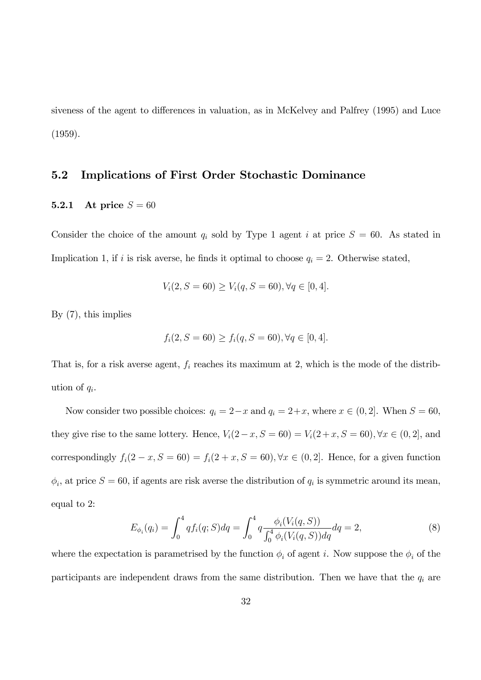siveness of the agent to differences in valuation, as in McKelvey and Palfrey (1995) and Luce (1959).

#### 5.2 Implications of First Order Stochastic Dominance

#### 5.2.1 At price  $S = 60$

Consider the choice of the amount  $q_i$  sold by Type 1 agent i at price  $S = 60$ . As stated in Implication 1, if i is risk averse, he finds it optimal to choose  $q_i = 2$ . Otherwise stated,

$$
V_i(2, S = 60) \ge V_i(q, S = 60), \forall q \in [0, 4].
$$

By (7), this implies

$$
f_i(2, S = 60) \ge f_i(q, S = 60), \forall q \in [0, 4].
$$

That is, for a risk averse agent,  $f_i$  reaches its maximum at 2, which is the mode of the distribution of  $q_i$ .

Now consider two possible choices:  $q_i = 2-x$  and  $q_i = 2+x$ , where  $x \in (0, 2]$ . When  $S = 60$ , they give rise to the same lottery. Hence,  $V_i(2-x, S = 60) = V_i(2+x, S = 60)$ ,  $\forall x \in (0, 2]$ , and correspondingly  $f_i(2-x, S = 60) = f_i(2+x, S = 60)$ ,  $\forall x \in (0, 2]$ . Hence, for a given function  $\phi_i$ , at price  $S = 60$ , if agents are risk averse the distribution of  $q_i$  is symmetric around its mean, equal to 2:

$$
E_{\phi_i}(q_i) = \int_0^4 q f_i(q;S) dq = \int_0^4 q \frac{\phi_i(V_i(q,S))}{\int_0^4 \phi_i(V_i(q,S)) dq} dq = 2,
$$
\n(8)

where the expectation is parametrised by the function  $\phi_i$  of agent i. Now suppose the  $\phi_i$  of the participants are independent draws from the same distribution. Then we have that the  $q_i$  are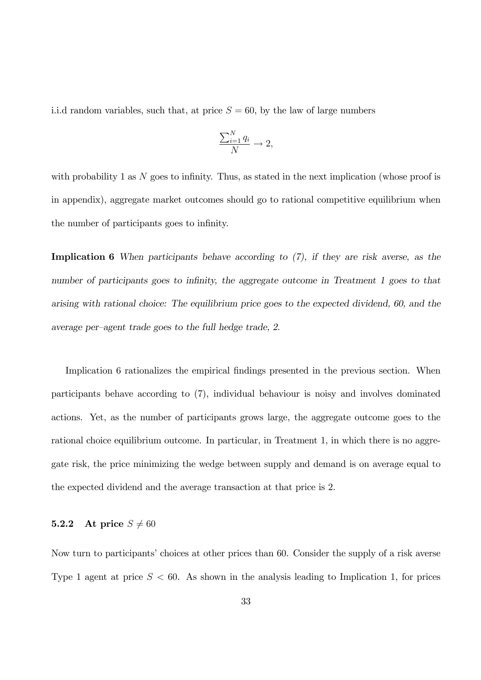i.i.d random variables, such that, at price  $S = 60$ , by the law of large numbers

$$
\frac{\sum_{i=1}^{N} q_i}{N} \to 2,
$$

with probability 1 as  $N$  goes to infinity. Thus, as stated in the next implication (whose proof is in appendix), aggregate market outcomes should go to rational competitive equilibrium when the number of participants goes to infinity.

Implication 6 When participants behave according to (7), if they are risk averse, as the number of participants goes to infinity, the aggregate outcome in Treatment 1 goes to that arising with rational choice: The equilibrium price goes to the expected dividend, 60, and the average per-agent trade goes to the full hedge trade, 2.

Implication 6 rationalizes the empirical findings presented in the previous section. When participants behave according to (7), individual behaviour is noisy and involves dominated actions. Yet, as the number of participants grows large, the aggregate outcome goes to the rational choice equilibrium outcome. In particular, in Treatment 1, in which there is no aggregate risk, the price minimizing the wedge between supply and demand is on average equal to the expected dividend and the average transaction at that price is 2.

#### 5.2.2 At price  $S \neq 60$

Now turn to participants' choices at other prices than 60. Consider the supply of a risk averse Type 1 agent at price  $S < 60$ . As shown in the analysis leading to Implication 1, for prices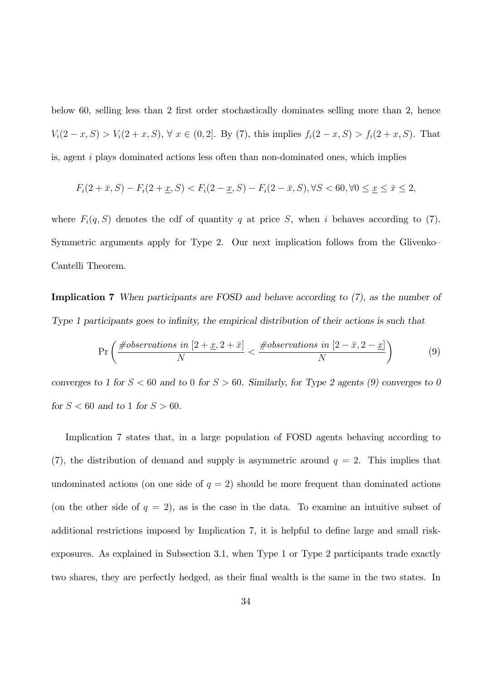below 60, selling less than 2 first order stochastically dominates selling more than 2, hence  $V_i(2-x, S) > V_i(2+x, S), \forall x \in (0, 2].$  By (7), this implies  $f_i(2-x, S) > f_i(2+x, S).$  That is, agent i plays dominated actions less often than non-dominated ones, which implies

$$
F_i(2+\bar{x}, S) - F_i(2+\underline{x}, S) < F_i(2-\underline{x}, S) - F_i(2-\bar{x}, S), \forall S < 60, \forall 0 \le \underline{x} \le \bar{x} \le 2,
$$

where  $F_i(q, S)$  denotes the cdf of quantity q at price S, when i behaves according to (7). Symmetric arguments apply for Type 2. Our next implication follows from the Glivenko-Cantelli Theorem.

Implication 7 When participants are FOSD and behave according to (7), as the number of Type 1 participants goes to infinity, the empirical distribution of their actions is such that

$$
\Pr\left(\frac{\text{\#observations in }[2+\underline{x},2+\bar{x}]}{N} < \frac{\text{\#observations in }[2-\bar{x},2-\underline{x}]}{N}\right) \tag{9}
$$

converges to 1 for  $S < 60$  and to 0 for  $S > 60$ . Similarly, for Type 2 agents (9) converges to 0 for  $S < 60$  and to 1 for  $S > 60$ .

Implication 7 states that, in a large population of FOSD agents behaving according to (7), the distribution of demand and supply is asymmetric around  $q = 2$ . This implies that undominated actions (on one side of  $q = 2$ ) should be more frequent than dominated actions (on the other side of  $q = 2$ ), as is the case in the data. To examine an intuitive subset of additional restrictions imposed by Implication 7, it is helpful to define large and small riskexposures. As explained in Subsection 3.1, when Type 1 or Type 2 participants trade exactly two shares, they are perfectly hedged, as their Önal wealth is the same in the two states. In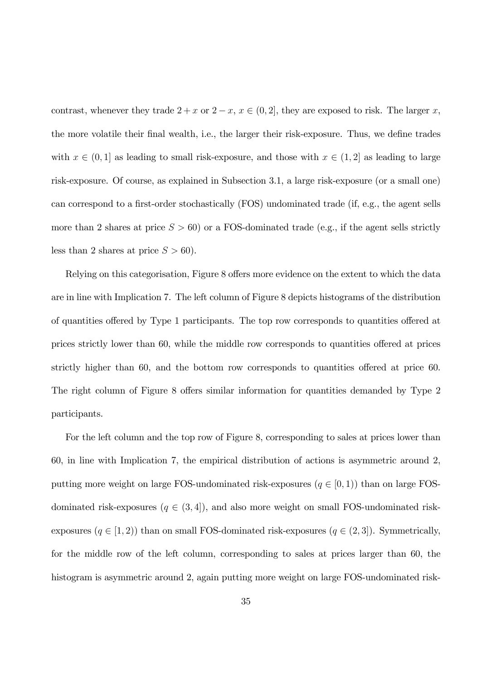contrast, whenever they trade  $2 + x$  or  $2 - x$ ,  $x \in (0, 2]$ , they are exposed to risk. The larger x, the more volatile their final wealth, i.e., the larger their risk-exposure. Thus, we define trades with  $x \in (0, 1]$  as leading to small risk-exposure, and those with  $x \in (1, 2]$  as leading to large risk-exposure. Of course, as explained in Subsection 3.1, a large risk-exposure (or a small one) can correspond to a first-order stochastically (FOS) undominated trade (if, e.g., the agent sells more than 2 shares at price  $S > 60$ ) or a FOS-dominated trade (e.g., if the agent sells strictly less than 2 shares at price  $S > 60$ .

Relying on this categorisation, Figure 8 offers more evidence on the extent to which the data are in line with Implication 7. The left column of Figure 8 depicts histograms of the distribution of quantities offered by Type 1 participants. The top row corresponds to quantities offered at prices strictly lower than 60, while the middle row corresponds to quantities offered at prices strictly higher than  $60$ , and the bottom row corresponds to quantities offered at price  $60$ . The right column of Figure 8 offers similar information for quantities demanded by Type 2 participants.

For the left column and the top row of Figure 8, corresponding to sales at prices lower than 60, in line with Implication 7, the empirical distribution of actions is asymmetric around 2, putting more weight on large FOS-undominated risk-exposures  $(q \in [0, 1))$  than on large FOSdominated risk-exposures  $(q \in (3, 4])$ , and also more weight on small FOS-undominated riskexposures  $(q \in [1, 2))$  than on small FOS-dominated risk-exposures  $(q \in (2, 3])$ . Symmetrically, for the middle row of the left column, corresponding to sales at prices larger than 60, the histogram is asymmetric around 2, again putting more weight on large FOS-undominated risk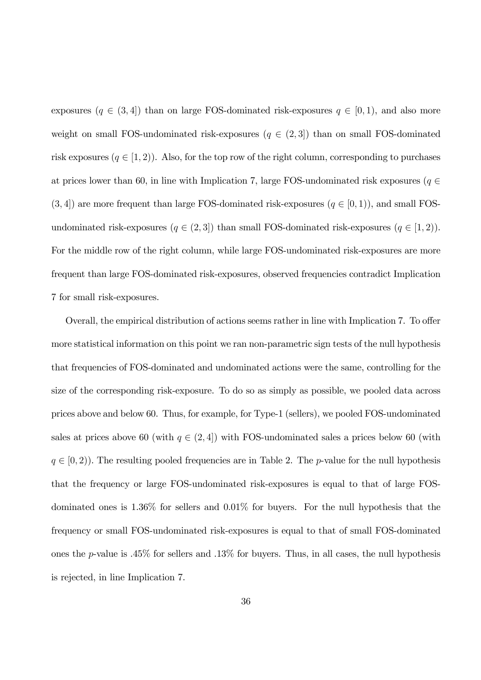exposures  $(q \in (3, 4])$  than on large FOS-dominated risk-exposures  $q \in [0, 1)$ , and also more weight on small FOS-undominated risk-exposures  $(q \in (2,3])$  than on small FOS-dominated risk exposures  $(q \in [1, 2])$ . Also, for the top row of the right column, corresponding to purchases at prices lower than 60, in line with Implication 7, large FOS-undominated risk exposures ( $q \in$  $(3, 4]$  are more frequent than large FOS-dominated risk-exposures  $(q \in [0, 1))$ , and small FOSundominated risk-exposures  $(q \in (2,3])$  than small FOS-dominated risk-exposures  $(q \in [1,2])$ . For the middle row of the right column, while large FOS-undominated risk-exposures are more frequent than large FOS-dominated risk-exposures, observed frequencies contradict Implication 7 for small risk-exposures.

Overall, the empirical distribution of actions seems rather in line with Implication 7. To offer more statistical information on this point we ran non-parametric sign tests of the null hypothesis that frequencies of FOS-dominated and undominated actions were the same, controlling for the size of the corresponding risk-exposure. To do so as simply as possible, we pooled data across prices above and below 60. Thus, for example, for Type-1 (sellers), we pooled FOS-undominated sales at prices above 60 (with  $q \in (2, 4)$ ) with FOS-undominated sales a prices below 60 (with  $q \in [0, 2)$ ). The resulting pooled frequencies are in Table 2. The p-value for the null hypothesis that the frequency or large FOS-undominated risk-exposures is equal to that of large FOSdominated ones is 1.36% for sellers and 0.01% for buyers. For the null hypothesis that the frequency or small FOS-undominated risk-exposures is equal to that of small FOS-dominated ones the p-value is .45% for sellers and .13% for buyers. Thus, in all cases, the null hypothesis is rejected, in line Implication 7.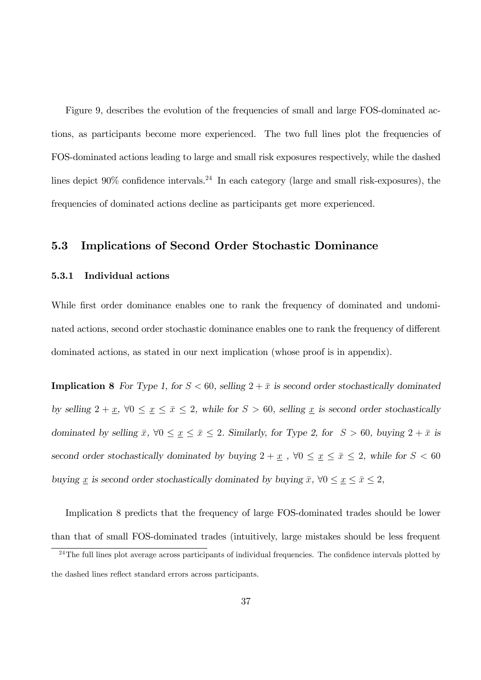Figure 9, describes the evolution of the frequencies of small and large FOS-dominated actions, as participants become more experienced. The two full lines plot the frequencies of FOS-dominated actions leading to large and small risk exposures respectively, while the dashed lines depict  $90\%$  confidence intervals.<sup>24</sup> In each category (large and small risk-exposures), the frequencies of dominated actions decline as participants get more experienced.

#### 5.3 Implications of Second Order Stochastic Dominance

#### 5.3.1 Individual actions

While first order dominance enables one to rank the frequency of dominated and undominated actions, second order stochastic dominance enables one to rank the frequency of different dominated actions, as stated in our next implication (whose proof is in appendix).

**Implication 8** For Type 1, for  $S < 60$ , selling  $2 + \bar{x}$  is second order stochastically dominated by selling  $2 + \underline{x}$ ,  $\forall 0 \le \underline{x} \le \overline{x} \le 2$ , while for  $S > 60$ , selling  $\underline{x}$  is second order stochastically dominated by selling  $\bar{x}$ ,  $\forall 0 \leq \bar{x} \leq 2$ . Similarly, for Type 2, for  $S > 60$ , buying  $2 + \bar{x}$  is second order stochastically dominated by buying  $2 + \underline{x}$ ,  $\forall 0 \le \underline{x} \le \overline{x} \le 2$ , while for  $S < 60$ buying  $\underline{x}$  is second order stochastically dominated by buying  $\overline{x}$ ,  $\forall 0 \le \underline{x} \le \overline{x} \le 2$ ,

Implication 8 predicts that the frequency of large FOS-dominated trades should be lower than that of small FOS-dominated trades (intuitively, large mistakes should be less frequent

<sup>&</sup>lt;sup>24</sup>The full lines plot average across participants of individual frequencies. The confidence intervals plotted by the dashed lines reflect standard errors across participants.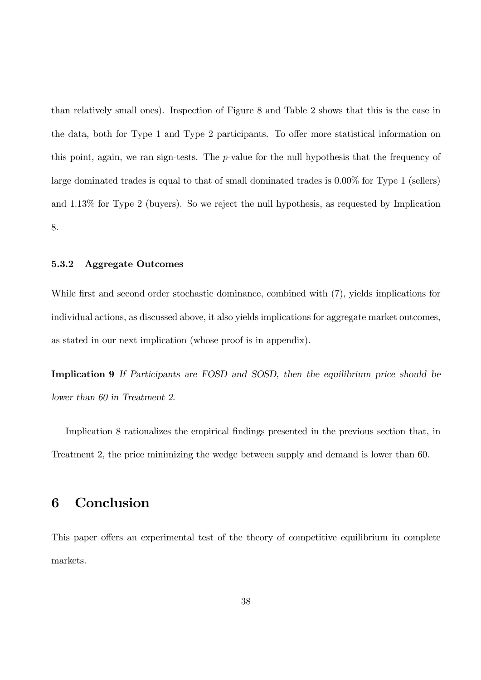than relatively small ones). Inspection of Figure 8 and Table 2 shows that this is the case in the data, both for Type 1 and Type 2 participants. To offer more statistical information on this point, again, we ran sign-tests. The  $p$ -value for the null hypothesis that the frequency of large dominated trades is equal to that of small dominated trades is 0.00% for Type 1 (sellers) and 1.13% for Type 2 (buyers). So we reject the null hypothesis, as requested by Implication 8.

#### 5.3.2 Aggregate Outcomes

While first and second order stochastic dominance, combined with  $(7)$ , yields implications for individual actions, as discussed above, it also yields implications for aggregate market outcomes, as stated in our next implication (whose proof is in appendix).

Implication 9 If Participants are FOSD and SOSD, then the equilibrium price should be lower than 60 in Treatment 2.

Implication 8 rationalizes the empirical findings presented in the previous section that, in Treatment 2, the price minimizing the wedge between supply and demand is lower than 60.

# 6 Conclusion

This paper offers an experimental test of the theory of competitive equilibrium in complete markets.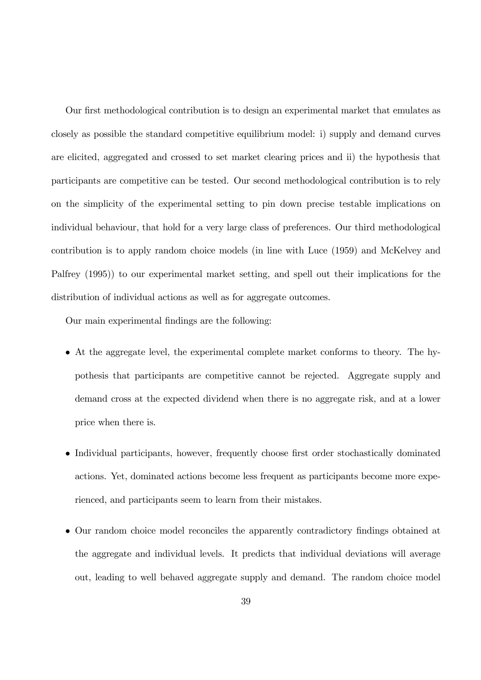Our first methodological contribution is to design an experimental market that emulates as closely as possible the standard competitive equilibrium model: i) supply and demand curves are elicited, aggregated and crossed to set market clearing prices and ii) the hypothesis that participants are competitive can be tested. Our second methodological contribution is to rely on the simplicity of the experimental setting to pin down precise testable implications on individual behaviour, that hold for a very large class of preferences. Our third methodological contribution is to apply random choice models (in line with Luce (1959) and McKelvey and Palfrey (1995)) to our experimental market setting, and spell out their implications for the distribution of individual actions as well as for aggregate outcomes.

Our main experimental findings are the following:

- At the aggregate level, the experimental complete market conforms to theory. The hypothesis that participants are competitive cannot be rejected. Aggregate supply and demand cross at the expected dividend when there is no aggregate risk, and at a lower price when there is.
- Individual participants, however, frequently choose first order stochastically dominated actions. Yet, dominated actions become less frequent as participants become more experienced, and participants seem to learn from their mistakes.
- Our random choice model reconciles the apparently contradictory findings obtained at the aggregate and individual levels. It predicts that individual deviations will average out, leading to well behaved aggregate supply and demand. The random choice model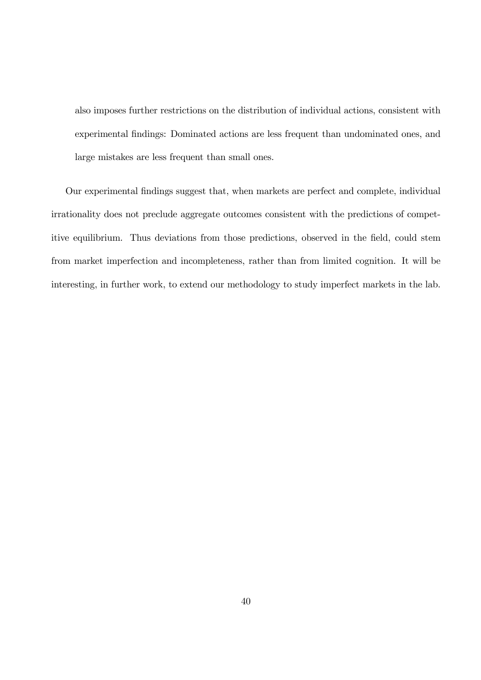also imposes further restrictions on the distribution of individual actions, consistent with experimental findings: Dominated actions are less frequent than undominated ones, and large mistakes are less frequent than small ones.

Our experimental findings suggest that, when markets are perfect and complete, individual irrationality does not preclude aggregate outcomes consistent with the predictions of competitive equilibrium. Thus deviations from those predictions, observed in the field, could stem from market imperfection and incompleteness, rather than from limited cognition. It will be interesting, in further work, to extend our methodology to study imperfect markets in the lab.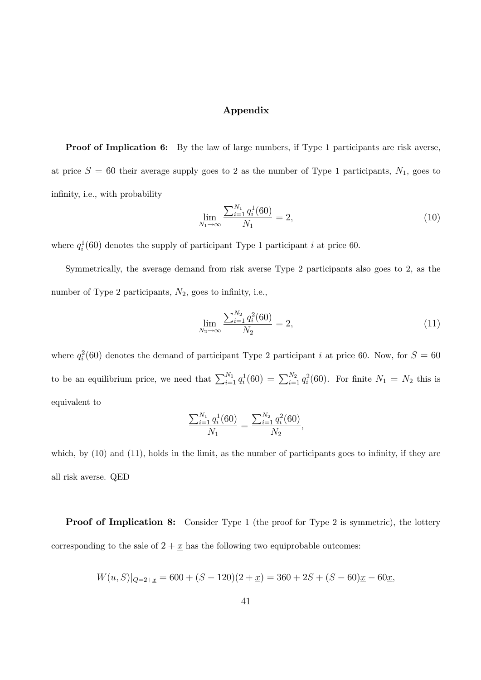#### Appendix

**Proof of Implication 6:** By the law of large numbers, if Type 1 participants are risk averse, at price  $S = 60$  their average supply goes to 2 as the number of Type 1 participants,  $N_1$ , goes to infinity, i.e., with probability

$$
\lim_{N_1 \to \infty} \frac{\sum_{i=1}^{N_1} q_i^1(60)}{N_1} = 2,
$$
\n(10)

where  $q_i^1(60)$  denotes the supply of participant Type 1 participant i at price 60.

Symmetrically, the average demand from risk averse Type 2 participants also goes to 2, as the number of Type 2 participants,  $N_2$ , goes to infinity, i.e.,

$$
\lim_{N_2 \to \infty} \frac{\sum_{i=1}^{N_2} q_i^2(60)}{N_2} = 2,\tag{11}
$$

where  $q_i^2(60)$  denotes the demand of participant Type 2 participant i at price 60. Now, for  $S = 60$ to be an equilibrium price, we need that  $\sum_{i=1}^{N_1} q_i^1(60) = \sum_{i=1}^{N_2} q_i^2(60)$ . For finite  $N_1 = N_2$  this is equivalent to

$$
\frac{\sum_{i=1}^{N_1} q_i^1(60)}{N_1} = \frac{\sum_{i=1}^{N_2} q_i^2(60)}{N_2},
$$

which, by  $(10)$  and  $(11)$ , holds in the limit, as the number of participants goes to infinity, if they are all risk averse. QED

**Proof of Implication 8:** Consider Type 1 (the proof for Type 2 is symmetric), the lottery corresponding to the sale of  $2 + \underline{x}$  has the following two equiprobable outcomes:

$$
W(u, S)|_{Q=2+\underline{x}} = 600 + (S - 120)(2 + \underline{x}) = 360 + 2S + (S - 60)\underline{x} - 60\underline{x},
$$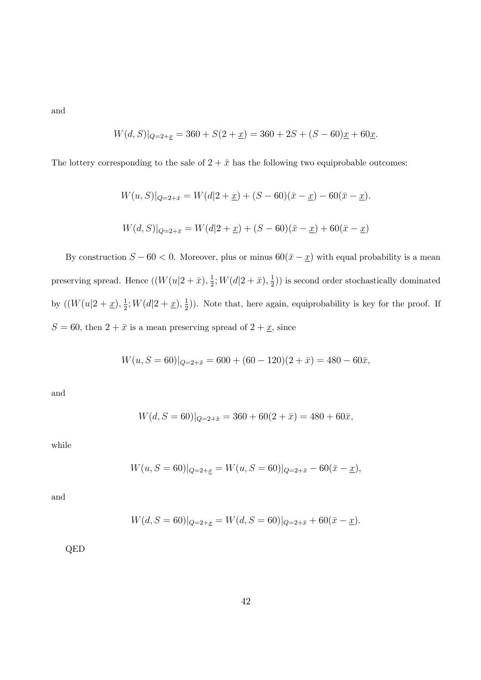and

$$
W(d, S)|_{Q=2+\underline{x}} = 360 + S(2+\underline{x}) = 360 + 2S + (S - 60)\underline{x} + 60\underline{x}.
$$

The lottery corresponding to the sale of  $2 + \bar{x}$  has the following two equiprobable outcomes:

$$
W(u, S)|_{Q=2+\bar{x}} = W(d|2+\underline{x}) + (S-60)(\bar{x}-\underline{x}) - 60(\bar{x}-\underline{x}).
$$
  

$$
W(d, S)|_{Q=2+\bar{x}} = W(d|2+\underline{x}) + (S-60)(\bar{x}-\underline{x}) + 60(\bar{x}-\underline{x})
$$

By construction  $S - 60 < 0$ . Moreover, plus or minus  $60(\bar{x} - \underline{x})$  with equal probability is a mean preserving spread. Hence  $((W(u|2+\bar{x}),\frac{1}{2}))$  $\frac{1}{2}$ ;  $W(d|2+\bar{x}), \frac{1}{2}$  $(\frac{1}{2})$  is second order stochastically dominated by  $((W(u|2 + \underline{x}), \frac{1}{2}))$  $\frac{1}{2}$ ;  $W(d|2 + \underline{x}), \frac{1}{2}$  $(\frac{1}{2})$ ). Note that, here again, equiprobability is key for the proof. If  $S = 60$ , then  $2 + \bar{x}$  is a mean preserving spread of  $2 + \underline{x}$ , since

$$
W(u, S = 60)|_{Q=2+\bar{x}} = 600 + (60 - 120)(2 + \bar{x}) = 480 - 60\bar{x},
$$

and

$$
W(d, S = 60)|_{Q=2+\bar{x}} = 360 + 60(2+\bar{x}) = 480 + 60\bar{x},
$$

while

$$
W(u, S = 60)|_{Q=2+\underline{x}} = W(u, S = 60)|_{Q=2+\bar{x}} - 60(\bar{x} - \underline{x}),
$$

and

$$
W(d, S = 60)|_{Q=2+\underline{x}} = W(d, S = 60)|_{Q=2+\bar{x}} + 60(\bar{x} - \underline{x}).
$$

QED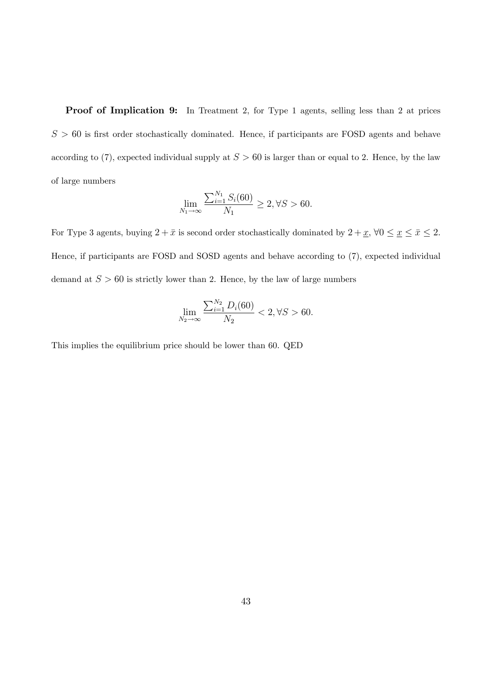Proof of Implication 9: In Treatment 2, for Type 1 agents, selling less than 2 at prices  $S > 60$  is first order stochastically dominated. Hence, if participants are FOSD agents and behave according to (7), expected individual supply at  $S > 60$  is larger than or equal to 2. Hence, by the law of large numbers

$$
\lim_{N_1 \to \infty} \frac{\sum_{i=1}^{N_1} S_i(60)}{N_1} \ge 2, \forall S > 60.
$$

For Type 3 agents, buying  $2 + \bar{x}$  is second order stochastically dominated by  $2 + \underline{x}$ ,  $\forall 0 \le \underline{x} \le \bar{x} \le 2$ . Hence, if participants are FOSD and SOSD agents and behave according to (7), expected individual demand at  $S > 60$  is strictly lower than 2. Hence, by the law of large numbers

$$
\lim_{N_2 \to \infty} \frac{\sum_{i=1}^{N_2} D_i(60)}{N_2} < 2, \forall S > 60.
$$

This implies the equilibrium price should be lower than 60. QED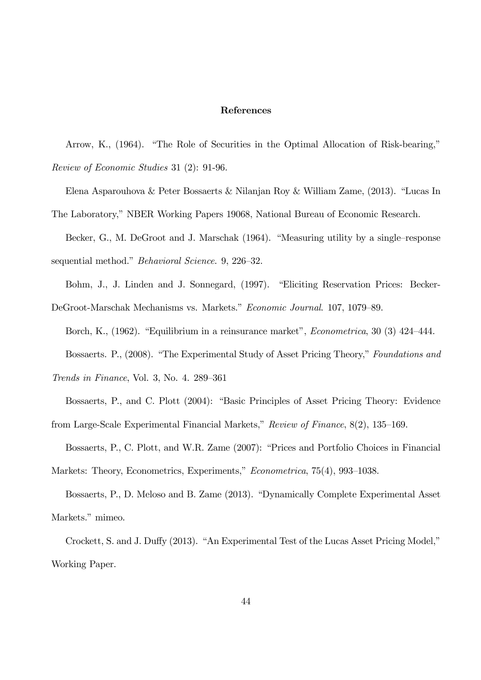#### References

Arrow, K., (1964). "The Role of Securities in the Optimal Allocation of Risk-bearing," Review of Economic Studies 31 (2): 91-96.

Elena Asparouhova & Peter Bossaerts & Nilanjan Roy & William Zame,  $(2013)$ . "Lucas In The Laboratory," NBER Working Papers 19068, National Bureau of Economic Research.

Becker, G., M. DeGroot and J. Marschak (1964). "Measuring utility by a single-response sequential method." Behavioral Science. 9, 226-32.

Bohm, J., J. Linden and J. Sonnegard, (1997). "Eliciting Reservation Prices: Becker-DeGroot-Marschak Mechanisms vs. Markets." Economic Journal. 107, 1079–89.

Borch, K., (1962). "Equilibrium in a reinsurance market", *Econometrica*, 30 (3) 424–444.

Bossaerts. P., (2008). "The Experimental Study of Asset Pricing Theory," Foundations and

Trends in Finance, Vol. 3, No. 4,  $289-361$ 

Bossaerts, P., and C. Plott (2004): "Basic Principles of Asset Pricing Theory: Evidence from Large-Scale Experimental Financial Markets,"  $Review\ of\ Finance$ ,  $8(2)$ , 135–169.

Bossaerts, P., C. Plott, and W.R. Zame (2007): "Prices and Portfolio Choices in Financial Markets: Theory, Econometrics, Experiments," Econometrica, 75(4), 993-1038.

Bossaerts, P., D. Meloso and B. Zame (2013). "Dynamically Complete Experimental Asset Markets." mimeo.

Crockett, S. and J. Duffy (2013). "An Experimental Test of the Lucas Asset Pricing Model," Working Paper.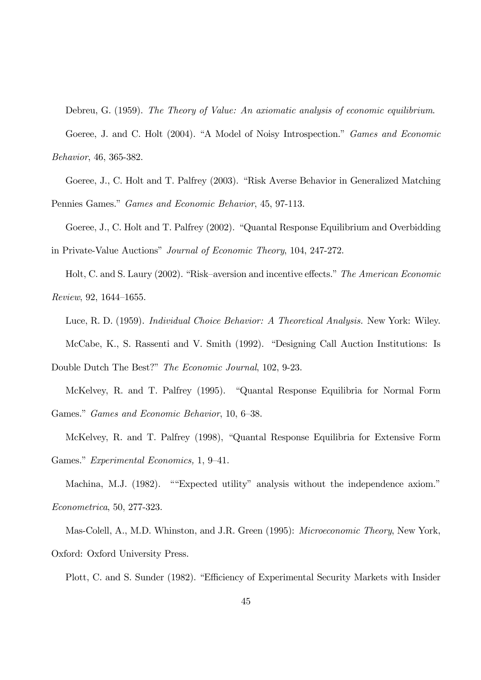Debreu, G. (1959). The Theory of Value: An axiomatic analysis of economic equilibrium.

Goeree, J. and C. Holt (2004). "A Model of Noisy Introspection." Games and Economic Behavior, 46, 365-382.

Goeree, J., C. Holt and T. Palfrey (2003). "Risk Averse Behavior in Generalized Matching Pennies Games." Games and Economic Behavior, 45, 97-113.

Goeree, J., C. Holt and T. Palfrey (2002). "Quantal Response Equilibrium and Overbidding in Private-Value Auctions" Journal of Economic Theory, 104, 247-272.

Holt, C. and S. Laury (2002). "Risk–aversion and incentive effects." The American Economic  $Review, 92, 1644–1655.$ 

Luce, R. D. (1959). Individual Choice Behavior: A Theoretical Analysis. New York: Wiley. McCabe, K., S. Rassenti and V. Smith (1992). "Designing Call Auction Institutions: Is

McKelvey, R. and T. Palfrey (1995). "Quantal Response Equilibria for Normal Form Games." Games and Economic Behavior, 10, 6-38.

Double Dutch The Best?" The Economic Journal, 102, 9-23.

McKelvey, R. and T. Palfrey (1998), "Quantal Response Equilibria for Extensive Form Games." Experimental Economics, 1, 9-41.

Machina, M.J. (1982). ""Expected utility" analysis without the independence axiom." Econometrica, 50, 277-323.

Mas-Colell, A., M.D. Whinston, and J.R. Green (1995): Microeconomic Theory, New York, Oxford: Oxford University Press.

Plott, C. and S. Sunder (1982). "Efficiency of Experimental Security Markets with Insider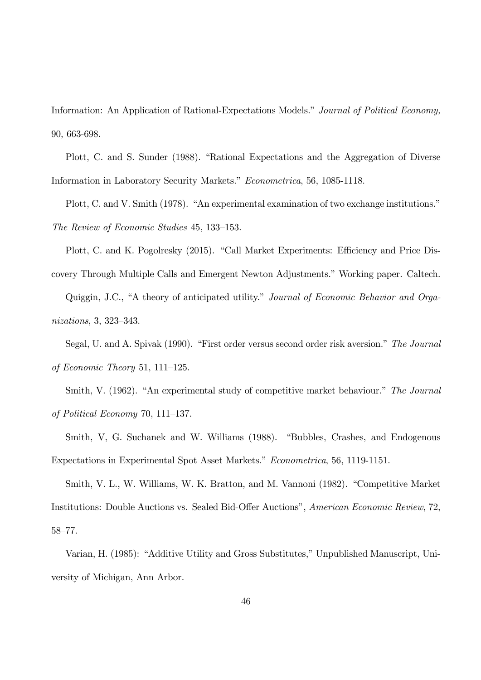Information: An Application of Rational-Expectations Models." Journal of Political Economy, 90, 663-698.

Plott, C. and S. Sunder (1988). "Rational Expectations and the Aggregation of Diverse Information in Laboratory Security Markets." Econometrica, 56, 1085-1118.

Plott, C. and V. Smith (1978). "An experimental examination of two exchange institutions." The Review of Economic Studies 45, 133-153.

Plott, C. and K. Pogolresky (2015). "Call Market Experiments: Efficiency and Price Discovery Through Multiple Calls and Emergent Newton Adjustments." Working paper. Caltech. Quiggin, J.C., "A theory of anticipated utility." Journal of Economic Behavior and Orga-

 $nizations, 3, 323–343.$ 

Segal, U. and A. Spivak (1990). "First order versus second order risk aversion." The Journal of Economic Theory 51, 111–125.

Smith, V. (1962). "An experimental study of competitive market behaviour." The Journal of Political Economy 70, 111–137.

Smith, V, G. Suchanek and W. Williams (1988). "Bubbles, Crashes, and Endogenous Expectations in Experimental Spot Asset Markets." Econometrica, 56, 1119-1151.

Smith, V. L., W. Williams, W. K. Bratton, and M. Vannoni (1982). "Competitive Market Institutions: Double Auctions vs. Sealed Bid-Offer Auctions", American Economic Review, 72, 58-77.

Varian, H. (1985): "Additive Utility and Gross Substitutes," Unpublished Manuscript, University of Michigan, Ann Arbor.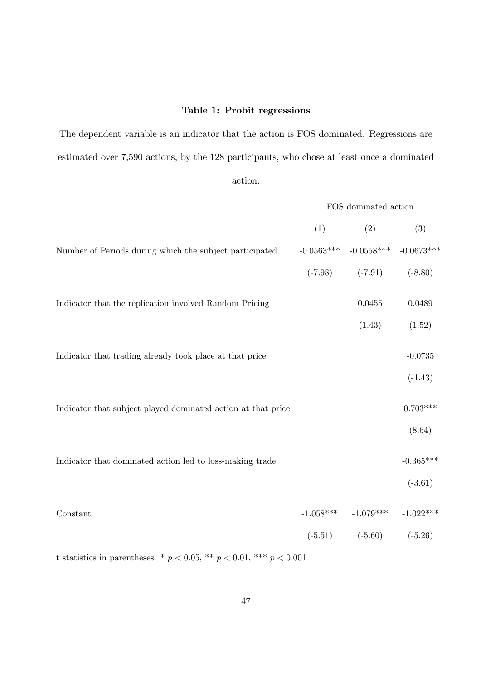#### Table 1: Probit regressions

The dependent variable is an indicator that the action is FOS dominated. Regressions are estimated over 7,590 actions, by the 128 participants, who chose at least once a dominated action.

|                                                              | FOS dominated action |                                     |             |  |
|--------------------------------------------------------------|----------------------|-------------------------------------|-------------|--|
|                                                              | (1)                  | (2)                                 | (3)         |  |
| Number of Periods during which the subject participated      | $-0.0563***$         | $-0.0558***$ $-0.0673***$           |             |  |
|                                                              |                      | $(-7.98)$ $(-7.91)$                 | $(-8.80)$   |  |
| Indicator that the replication involved Random Pricing       |                      | 0.0455                              | 0.0489      |  |
|                                                              |                      | (1.43)                              | (1.52)      |  |
| Indicator that trading already took place at that price      |                      |                                     | $-0.0735$   |  |
|                                                              |                      |                                     | $(-1.43)$   |  |
| Indicator that subject played dominated action at that price |                      |                                     | $0.703***$  |  |
|                                                              |                      |                                     | (8.64)      |  |
| Indicator that dominated action led to loss-making trade     |                      |                                     | $-0.365***$ |  |
|                                                              |                      |                                     | $(-3.61)$   |  |
| Constant                                                     |                      | $-1.058***$ $-1.079***$ $-1.022***$ |             |  |
|                                                              |                      | $(-5.51)$ $(-5.60)$ $(-5.26)$       |             |  |

t statistics in parentheses. \* $p < 0.05,$ \*\* $p < 0.01,$ \*\*\* $p < 0.001$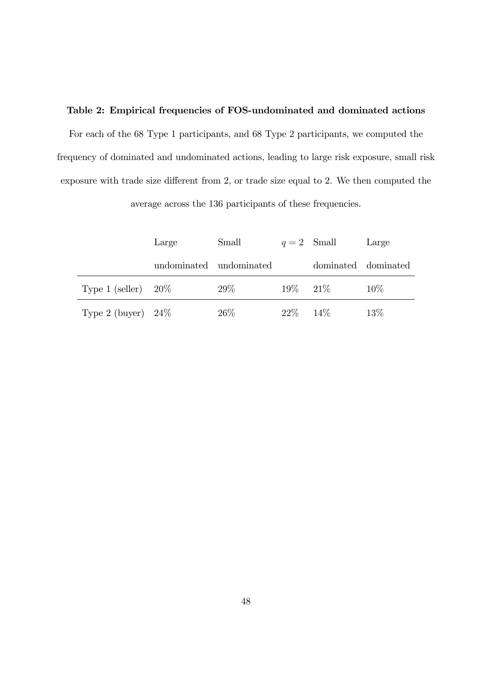#### Table 2: Empirical frequencies of FOS-undominated and dominated actions

For each of the 68 Type 1 participants, and 68 Type 2 participants, we computed the frequency of dominated and undominated actions, leading to large risk exposure, small risk exposure with trade size different from 2, or trade size equal to 2. We then computed the

average across the 136 participants of these frequencies.

|                        | Large | Small                   |               | $q=2$ Small         | Large  |
|------------------------|-------|-------------------------|---------------|---------------------|--------|
|                        |       | undominated undominated |               | dominated dominated |        |
| Type 1 (seller) $20\%$ |       | $29\%$                  |               | $19\%$ 21\%         | $10\%$ |
| Type 2 (buyer) $24\%$  |       | $26\%$                  | $22\% - 14\%$ |                     | 13\%   |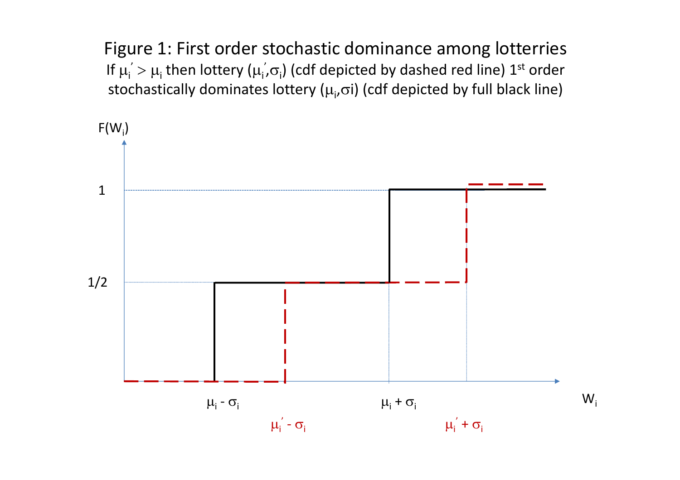Figure 1: First order stochastic dominance among lotterries If  $\mu_{\mathsf{i}}^{'}>\mu_{\mathsf{i}}$  then lottery ( $\mu_{\mathsf{i}}^{'}$ , $\sigma_{\mathsf{i}}$ ) (cdf depicted by dashed red line)  $1^{\mathrm{st}}$  order stochastically dominates lottery  $(\mu_i, \sigma_i)$  (cdf depicted by full black line)

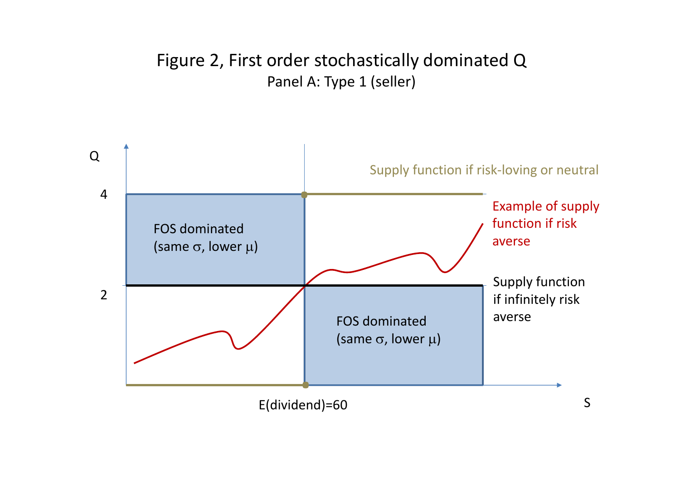# Figure 2, First order stochastically dominated Q Panel A: Type 1 (seller)

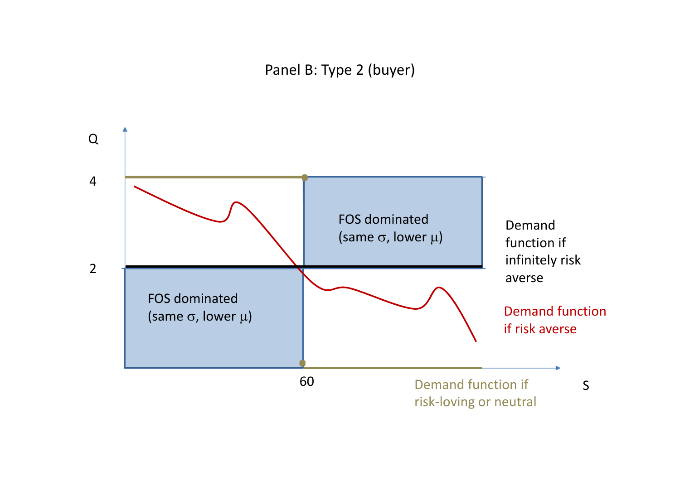Panel B: Type 2 (buyer)

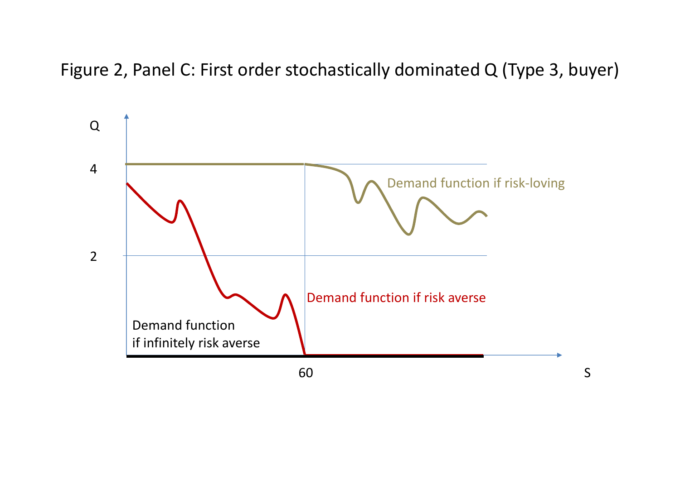Figure 2, Panel C: First order stochastically dominated Q (Type 3, buyer)

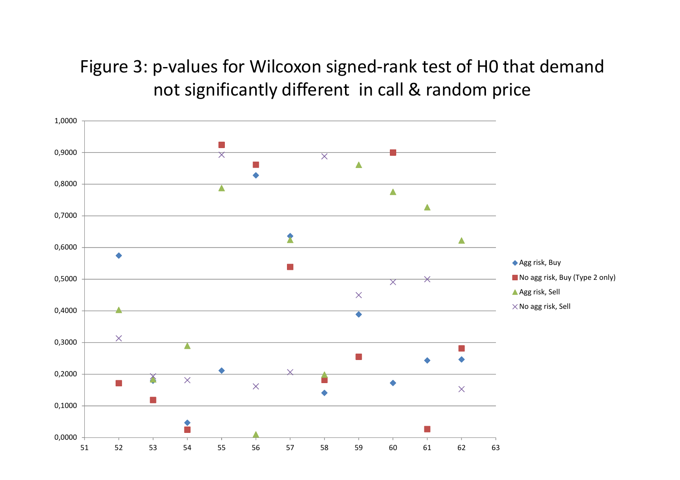Figure 3: p-values for Wilcoxon signed-rank test of H0 that demand not significantly different in call & random price

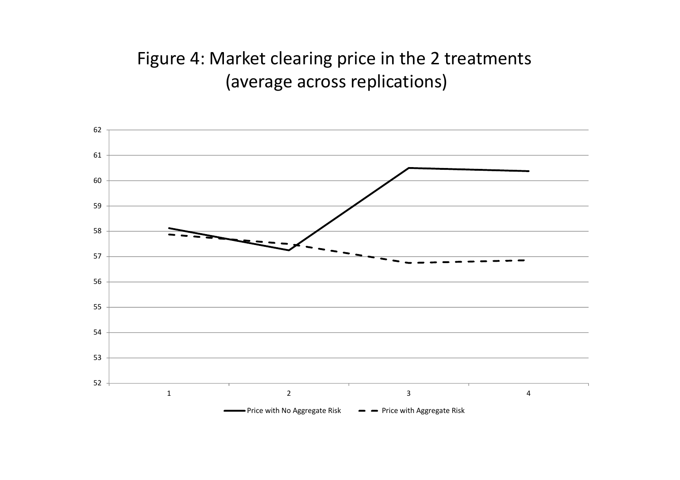# Figure 4: Market clearing price in the 2 treatments (average across replications)

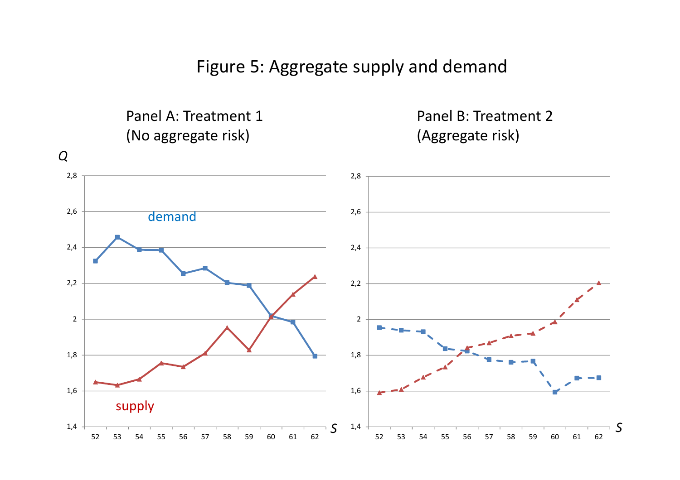Figure 5: Aggregate supply and demand

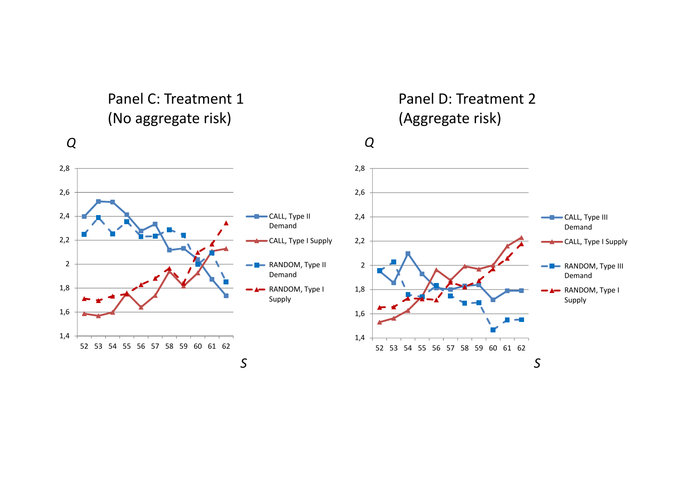Panel C:(No aggregate risk) (Aggregate risk)

## *Q*

# : Treatment 1 Panel D: Treatment 2

*Q*

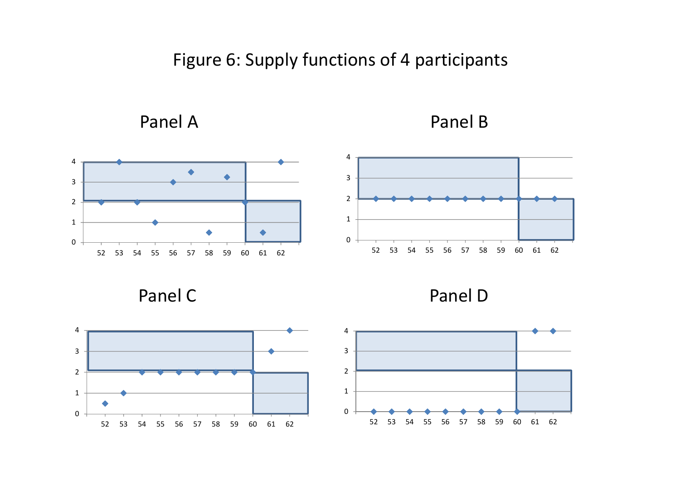Figure 6: Supply functions of 4 participants

Panel







Panel





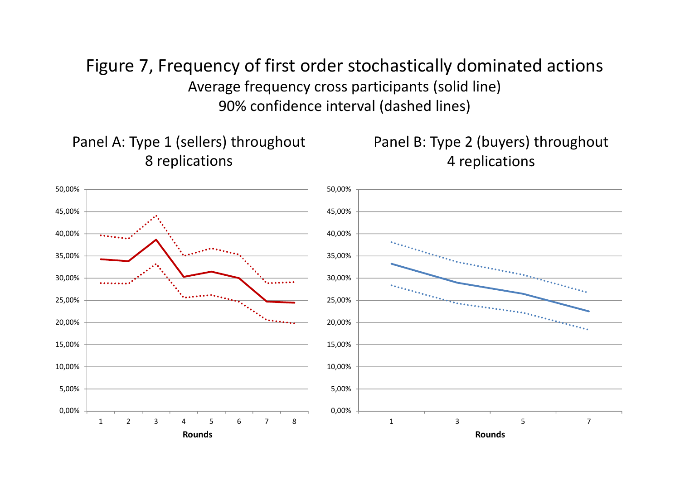Figure 7, Frequency of first order stochastically dominated actions Average frequency cross participants (solid line) 90% confidence interval (dashed lines)

Panel A: Type 1 (sellers) throughout 8 replications

Panel B: Type 2 (buyers) throughout 4 replications

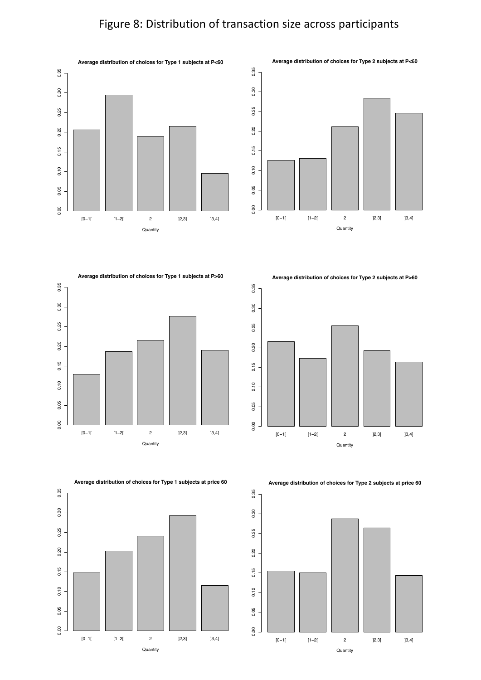# Figure 8: Distribution of transaction size across participants





**Average distribution of choices for Type 1 subjects at P>60**



**Average distribution of choices for Type 2 subjects at P>60**



**Average distribution of choices for Type 1 subjects at price 60**



**Average distribution of choices for Type 2 subjects at price 60**